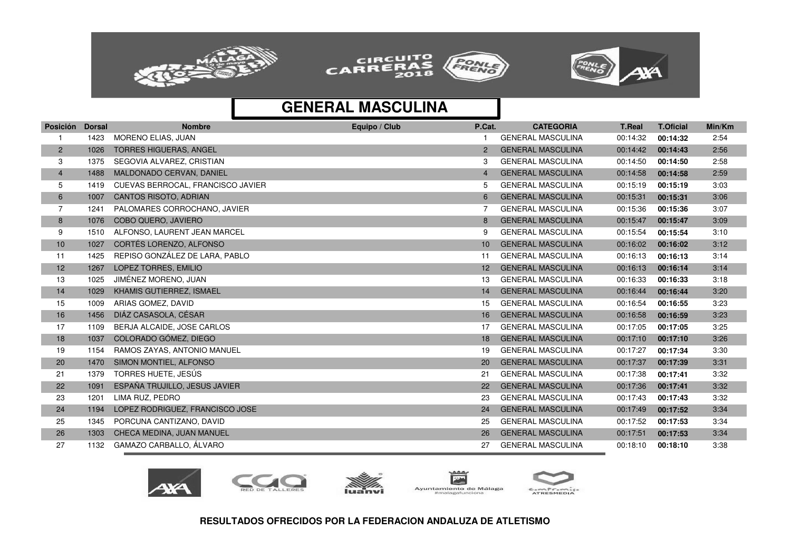





| <b>Posición</b> | <b>Dorsal</b> | <b>Nombre</b>                     | Equipo / Club | P.Cat.          | <b>CATEGORIA</b>         | <b>T.Real</b> | <b>T.Oficial</b> | Min/Km |
|-----------------|---------------|-----------------------------------|---------------|-----------------|--------------------------|---------------|------------------|--------|
|                 | 1423          | MORENO ELIAS, JUAN                |               |                 | <b>GENERAL MASCULINA</b> | 00:14:32      | 00:14:32         | 2:54   |
| $\overline{c}$  | 1026          | <b>TORRES HIGUERAS, ANGEL</b>     |               | $\overline{2}$  | <b>GENERAL MASCULINA</b> | 00:14:42      | 00:14:43         | 2:56   |
| 3               | 1375          | SEGOVIA ALVAREZ, CRISTIAN         |               | 3               | <b>GENERAL MASCULINA</b> | 00:14:50      | 00:14:50         | 2:58   |
| $\overline{4}$  | 1488          | MALDONADO CERVAN, DANIEL          |               | 4               | <b>GENERAL MASCULINA</b> | 00:14:58      | 00:14:58         | 2:59   |
| 5               | 1419          | CUEVAS BERROCAL, FRANCISCO JAVIER |               | 5               | <b>GENERAL MASCULINA</b> | 00:15:19      | 00:15:19         | 3:03   |
| 6               | 1007          | <b>CANTOS RISOTO, ADRIAN</b>      |               | 6               | <b>GENERAL MASCULINA</b> | 00:15:31      | 00:15:31         | 3:06   |
| 7               | 1241          | PALOMARES CORROCHANO, JAVIER      |               |                 | <b>GENERAL MASCULINA</b> | 00:15:36      | 00:15:36         | 3:07   |
| 8               | 1076          | <b>COBO QUERO, JAVIERO</b>        |               | 8               | <b>GENERAL MASCULINA</b> | 00:15:47      | 00:15:47         | 3:09   |
| 9               | 1510          | ALFONSO, LAURENT JEAN MARCEL      |               | 9               | <b>GENERAL MASCULINA</b> | 00:15:54      | 00:15:54         | 3:10   |
| 10              | 1027          | CORTÉS LORENZO, ALFONSO           |               | 10              | <b>GENERAL MASCULINA</b> | 00:16:02      | 00:16:02         | 3:12   |
| 11              | 1425          | REPISO GONZÁLEZ DE LARA, PABLO    |               | 11              | <b>GENERAL MASCULINA</b> | 00:16:13      | 00:16:13         | 3:14   |
| 12              | 1267          | LOPEZ TORRES, EMILIO              |               | 12 <sup>2</sup> | <b>GENERAL MASCULINA</b> | 00:16:13      | 00:16:14         | 3:14   |
| 13              | 1025          | JIMÉNEZ MORENO, JUAN              |               | 13              | <b>GENERAL MASCULINA</b> | 00:16:33      | 00:16:33         | 3:18   |
| 14              | 1029          | KHAMIS GUTIERREZ, ISMAEL          |               | 14              | <b>GENERAL MASCULINA</b> | 00:16:44      | 00:16:44         | 3:20   |
| 15              | 1009          | ARIAS GOMEZ, DAVID                |               | 15              | <b>GENERAL MASCULINA</b> | 00:16:54      | 00:16:55         | 3:23   |
| 16              | 1456          | DIÁZ CASASOLA, CÉSAR              |               | 16              | <b>GENERAL MASCULINA</b> | 00:16:58      | 00:16:59         | 3:23   |
| 17              | 1109          | BERJA ALCAIDE, JOSE CARLOS        |               | 17              | <b>GENERAL MASCULINA</b> | 00:17:05      | 00:17:05         | 3:25   |
| 18              | 1037          | COLORADO GÓMEZ, DIEGO             |               | 18              | <b>GENERAL MASCULINA</b> | 00:17:10      | 00:17:10         | 3:26   |
| 19              | 1154          | RAMOS ZAYAS, ANTONIO MANUEL       |               | 19              | <b>GENERAL MASCULINA</b> | 00:17:27      | 00:17:34         | 3:30   |
| 20              | 1470          | SIMON MONTIEL, ALFONSO            |               | 20              | <b>GENERAL MASCULINA</b> | 00:17:37      | 00:17:39         | 3:31   |
| 21              | 1379          | TORRES HUETE, JESÚS               |               | 21              | <b>GENERAL MASCULINA</b> | 00:17:38      | 00:17:41         | 3:32   |
| 22              | 1091          | ESPAÑA TRUJILLO, JESUS JAVIER     |               | 22              | <b>GENERAL MASCULINA</b> | 00:17:36      | 00:17:41         | 3:32   |
| 23              | 1201          | LIMA RUZ, PEDRO                   |               | 23              | <b>GENERAL MASCULINA</b> | 00:17:43      | 00:17:43         | 3:32   |
| 24              | 1194          | LOPEZ RODRIGUEZ, FRANCISCO JOSE   |               | 24              | <b>GENERAL MASCULINA</b> | 00:17:49      | 00:17:52         | 3:34   |
| 25              | 1345          | PORCUNA CANTIZANO, DAVID          |               | 25              | <b>GENERAL MASCULINA</b> | 00:17:52      | 00:17:53         | 3:34   |
| 26              | 1303          | CHECA MEDINA, JUAN MANUEL         |               | 26              | <b>GENERAL MASCULINA</b> | 00:17:51      | 00:17:53         | 3:34   |
| 27              | 1132          | GAMAZO CARBALLO, ÁLVARO           |               | 27              | <b>GENERAL MASCULINA</b> | 00:18:10      | 00:18:10         | 3:38   |









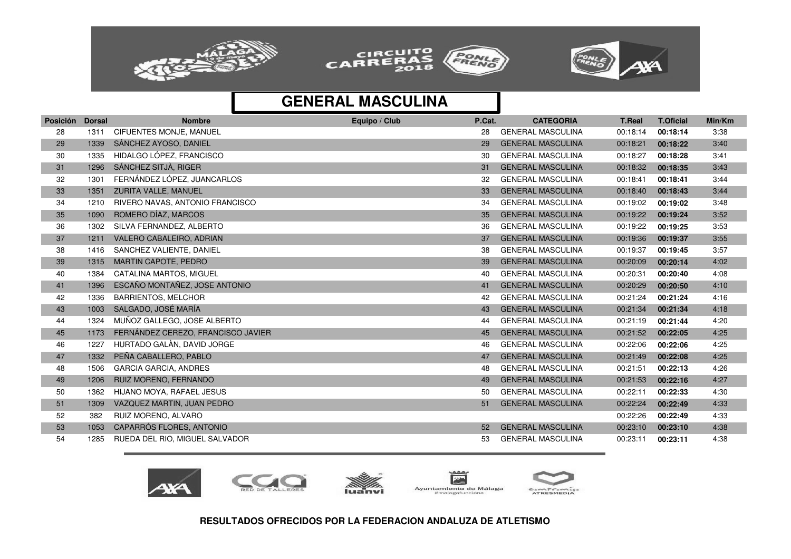





| <b>GENERAL MASCULINA</b><br>CIFUENTES MONJE, MANUEL<br>3:38<br>28<br>1311<br>28<br>00:18:14<br>00:18:14<br>SÁNCHEZ AYOSO, DANIEL<br><b>GENERAL MASCULINA</b><br>29<br>1339<br>29<br>00:18:21<br>00:18:22<br>3:40<br>HIDALGO LÓPEZ, FRANCISCO<br><b>GENERAL MASCULINA</b><br>3:41<br>30<br>1335<br>00:18:27<br>30<br>00:18:28<br>SÁNCHEZ SITJÀ, RIGER<br><b>GENERAL MASCULINA</b><br>31<br>1296<br>00:18:32<br>3:43<br>31<br>00:18:35<br>FERNÁNDEZ LÓPEZ. JUANCARLOS<br><b>GENERAL MASCULINA</b><br>32<br>1301<br>3:44<br>00:18:41<br>00:18:41<br>32<br>ZURITA VALLE, MANUEL<br><b>GENERAL MASCULINA</b><br>33<br>1351<br>00:18:40<br>3:44<br>33<br>00:18:43<br>RIVERO NAVAS, ANTONIO FRANCISCO<br><b>GENERAL MASCULINA</b><br>34<br>1210<br>00:19:02<br>3:48<br>34<br>00:19:02<br>ROMERO DÍAZ, MARCOS<br><b>GENERAL MASCULINA</b><br>35<br>00:19:22<br>3:52<br>1090<br>35<br>00:19:24<br>36<br>SILVA FERNANDEZ, ALBERTO<br><b>GENERAL MASCULINA</b><br>3:53<br>1302<br>36<br>00:19:22<br>00:19:25<br>37<br>VALERO CABALEIRO, ADRIAN<br><b>GENERAL MASCULINA</b><br>3:55<br>1211<br>37<br>00:19:36<br>00:19:37<br>38<br>SANCHEZ VALIENTE, DANIEL<br><b>GENERAL MASCULINA</b><br>3:57<br>1416<br>38<br>00:19:37<br>00:19:45<br><b>MARTIN CAPOTE, PEDRO</b><br><b>GENERAL MASCULINA</b><br>39<br>1315<br>4:02<br>39<br>00:20:09<br>00:20:14<br>40<br>1384<br>CATALINA MARTOS, MIGUEL<br><b>GENERAL MASCULINA</b><br>00:20:31<br>4:08<br>00:20:40<br>40<br>41<br>ESCAÑO MONTAÑEZ, JOSE ANTONIO<br><b>GENERAL MASCULINA</b><br>1396<br>00:20:29<br>4:10<br>41<br>00:20:50<br>42<br><b>BARRIENTOS, MELCHOR</b><br><b>GENERAL MASCULINA</b><br>00:21:24<br>1336<br>42<br>4:16<br>00:21:24<br>SALGADO, JOSÉ MARÍA<br><b>GENERAL MASCULINA</b><br>43<br>1003<br>00:21:34<br>4:18<br>43<br>00:21:34<br>MUÑOZ GALLEGO, JOSE ALBERTO<br><b>GENERAL MASCULINA</b><br>44<br>1324<br>00:21:19<br>4:20<br>44<br>00:21:44<br>FERNÁNDEZ CEREZO, FRANCISCO JAVIER<br><b>GENERAL MASCULINA</b><br>45<br>1173<br>00:21:52<br>00:22:05<br>4:25<br>45<br>HURTADO GALÀN, DAVID JORGE<br>46<br><b>GENERAL MASCULINA</b><br>1227<br>00:22:06<br>4:25<br>46<br>00:22:06<br>47<br>PEÑA CABALLERO, PABLO<br><b>GENERAL MASCULINA</b><br>1332<br>00:21:49<br>00:22:08<br>4:25<br>47<br><b>GARCIA GARCIA, ANDRES</b><br>48<br><b>GENERAL MASCULINA</b><br>00:21:51<br>1506<br>48<br>4:26<br>00:22:13<br>RUIZ MORENO, FERNANDO<br><b>GENERAL MASCULINA</b><br>49<br>1206<br>00:21:53<br>00:22:16<br>4:27<br>49<br>50<br>HIJANO MOYA, RAFAEL JESUS<br><b>GENERAL MASCULINA</b><br>00:22:11<br>4:30<br>1362<br>50<br>00:22:33<br>51<br>VAZQUEZ MARTIN, JUAN PEDRO<br><b>GENERAL MASCULINA</b><br>00:22:24<br>00:22:49<br>4:33<br>1309<br>51<br>RUIZ MORENO, ALVARO<br>52<br>382<br>00:22:26<br>4:33<br>00:22:49<br>CAPARRÓS FLORES, ANTONIO<br><b>GENERAL MASCULINA</b><br>53<br>1053<br>00:23:10<br>00:23:10<br>4:38<br>52<br>54<br>RUEDA DEL RIO, MIGUEL SALVADOR<br><b>GENERAL MASCULINA</b><br>1285<br>00:23:11<br>4:38<br>53<br>00:23:11 | Posición | <b>Dorsal</b> | <b>Nombre</b> | Equipo / Club | P.Cat. | <b>CATEGORIA</b> | <b>T.Real</b> | <b>T.Oficial</b> | Min/Km |
|-------------------------------------------------------------------------------------------------------------------------------------------------------------------------------------------------------------------------------------------------------------------------------------------------------------------------------------------------------------------------------------------------------------------------------------------------------------------------------------------------------------------------------------------------------------------------------------------------------------------------------------------------------------------------------------------------------------------------------------------------------------------------------------------------------------------------------------------------------------------------------------------------------------------------------------------------------------------------------------------------------------------------------------------------------------------------------------------------------------------------------------------------------------------------------------------------------------------------------------------------------------------------------------------------------------------------------------------------------------------------------------------------------------------------------------------------------------------------------------------------------------------------------------------------------------------------------------------------------------------------------------------------------------------------------------------------------------------------------------------------------------------------------------------------------------------------------------------------------------------------------------------------------------------------------------------------------------------------------------------------------------------------------------------------------------------------------------------------------------------------------------------------------------------------------------------------------------------------------------------------------------------------------------------------------------------------------------------------------------------------------------------------------------------------------------------------------------------------------------------------------------------------------------------------------------------------------------------------------------------------------------------------------------------------------------------------------------------------------------------------------------------------------------------------------------------------------------------------------------------------------------------------------------------------------------------------------------------------------------------------------------|----------|---------------|---------------|---------------|--------|------------------|---------------|------------------|--------|
|                                                                                                                                                                                                                                                                                                                                                                                                                                                                                                                                                                                                                                                                                                                                                                                                                                                                                                                                                                                                                                                                                                                                                                                                                                                                                                                                                                                                                                                                                                                                                                                                                                                                                                                                                                                                                                                                                                                                                                                                                                                                                                                                                                                                                                                                                                                                                                                                                                                                                                                                                                                                                                                                                                                                                                                                                                                                                                                                                                                                             |          |               |               |               |        |                  |               |                  |        |
|                                                                                                                                                                                                                                                                                                                                                                                                                                                                                                                                                                                                                                                                                                                                                                                                                                                                                                                                                                                                                                                                                                                                                                                                                                                                                                                                                                                                                                                                                                                                                                                                                                                                                                                                                                                                                                                                                                                                                                                                                                                                                                                                                                                                                                                                                                                                                                                                                                                                                                                                                                                                                                                                                                                                                                                                                                                                                                                                                                                                             |          |               |               |               |        |                  |               |                  |        |
|                                                                                                                                                                                                                                                                                                                                                                                                                                                                                                                                                                                                                                                                                                                                                                                                                                                                                                                                                                                                                                                                                                                                                                                                                                                                                                                                                                                                                                                                                                                                                                                                                                                                                                                                                                                                                                                                                                                                                                                                                                                                                                                                                                                                                                                                                                                                                                                                                                                                                                                                                                                                                                                                                                                                                                                                                                                                                                                                                                                                             |          |               |               |               |        |                  |               |                  |        |
|                                                                                                                                                                                                                                                                                                                                                                                                                                                                                                                                                                                                                                                                                                                                                                                                                                                                                                                                                                                                                                                                                                                                                                                                                                                                                                                                                                                                                                                                                                                                                                                                                                                                                                                                                                                                                                                                                                                                                                                                                                                                                                                                                                                                                                                                                                                                                                                                                                                                                                                                                                                                                                                                                                                                                                                                                                                                                                                                                                                                             |          |               |               |               |        |                  |               |                  |        |
|                                                                                                                                                                                                                                                                                                                                                                                                                                                                                                                                                                                                                                                                                                                                                                                                                                                                                                                                                                                                                                                                                                                                                                                                                                                                                                                                                                                                                                                                                                                                                                                                                                                                                                                                                                                                                                                                                                                                                                                                                                                                                                                                                                                                                                                                                                                                                                                                                                                                                                                                                                                                                                                                                                                                                                                                                                                                                                                                                                                                             |          |               |               |               |        |                  |               |                  |        |
|                                                                                                                                                                                                                                                                                                                                                                                                                                                                                                                                                                                                                                                                                                                                                                                                                                                                                                                                                                                                                                                                                                                                                                                                                                                                                                                                                                                                                                                                                                                                                                                                                                                                                                                                                                                                                                                                                                                                                                                                                                                                                                                                                                                                                                                                                                                                                                                                                                                                                                                                                                                                                                                                                                                                                                                                                                                                                                                                                                                                             |          |               |               |               |        |                  |               |                  |        |
|                                                                                                                                                                                                                                                                                                                                                                                                                                                                                                                                                                                                                                                                                                                                                                                                                                                                                                                                                                                                                                                                                                                                                                                                                                                                                                                                                                                                                                                                                                                                                                                                                                                                                                                                                                                                                                                                                                                                                                                                                                                                                                                                                                                                                                                                                                                                                                                                                                                                                                                                                                                                                                                                                                                                                                                                                                                                                                                                                                                                             |          |               |               |               |        |                  |               |                  |        |
|                                                                                                                                                                                                                                                                                                                                                                                                                                                                                                                                                                                                                                                                                                                                                                                                                                                                                                                                                                                                                                                                                                                                                                                                                                                                                                                                                                                                                                                                                                                                                                                                                                                                                                                                                                                                                                                                                                                                                                                                                                                                                                                                                                                                                                                                                                                                                                                                                                                                                                                                                                                                                                                                                                                                                                                                                                                                                                                                                                                                             |          |               |               |               |        |                  |               |                  |        |
|                                                                                                                                                                                                                                                                                                                                                                                                                                                                                                                                                                                                                                                                                                                                                                                                                                                                                                                                                                                                                                                                                                                                                                                                                                                                                                                                                                                                                                                                                                                                                                                                                                                                                                                                                                                                                                                                                                                                                                                                                                                                                                                                                                                                                                                                                                                                                                                                                                                                                                                                                                                                                                                                                                                                                                                                                                                                                                                                                                                                             |          |               |               |               |        |                  |               |                  |        |
|                                                                                                                                                                                                                                                                                                                                                                                                                                                                                                                                                                                                                                                                                                                                                                                                                                                                                                                                                                                                                                                                                                                                                                                                                                                                                                                                                                                                                                                                                                                                                                                                                                                                                                                                                                                                                                                                                                                                                                                                                                                                                                                                                                                                                                                                                                                                                                                                                                                                                                                                                                                                                                                                                                                                                                                                                                                                                                                                                                                                             |          |               |               |               |        |                  |               |                  |        |
|                                                                                                                                                                                                                                                                                                                                                                                                                                                                                                                                                                                                                                                                                                                                                                                                                                                                                                                                                                                                                                                                                                                                                                                                                                                                                                                                                                                                                                                                                                                                                                                                                                                                                                                                                                                                                                                                                                                                                                                                                                                                                                                                                                                                                                                                                                                                                                                                                                                                                                                                                                                                                                                                                                                                                                                                                                                                                                                                                                                                             |          |               |               |               |        |                  |               |                  |        |
|                                                                                                                                                                                                                                                                                                                                                                                                                                                                                                                                                                                                                                                                                                                                                                                                                                                                                                                                                                                                                                                                                                                                                                                                                                                                                                                                                                                                                                                                                                                                                                                                                                                                                                                                                                                                                                                                                                                                                                                                                                                                                                                                                                                                                                                                                                                                                                                                                                                                                                                                                                                                                                                                                                                                                                                                                                                                                                                                                                                                             |          |               |               |               |        |                  |               |                  |        |
|                                                                                                                                                                                                                                                                                                                                                                                                                                                                                                                                                                                                                                                                                                                                                                                                                                                                                                                                                                                                                                                                                                                                                                                                                                                                                                                                                                                                                                                                                                                                                                                                                                                                                                                                                                                                                                                                                                                                                                                                                                                                                                                                                                                                                                                                                                                                                                                                                                                                                                                                                                                                                                                                                                                                                                                                                                                                                                                                                                                                             |          |               |               |               |        |                  |               |                  |        |
|                                                                                                                                                                                                                                                                                                                                                                                                                                                                                                                                                                                                                                                                                                                                                                                                                                                                                                                                                                                                                                                                                                                                                                                                                                                                                                                                                                                                                                                                                                                                                                                                                                                                                                                                                                                                                                                                                                                                                                                                                                                                                                                                                                                                                                                                                                                                                                                                                                                                                                                                                                                                                                                                                                                                                                                                                                                                                                                                                                                                             |          |               |               |               |        |                  |               |                  |        |
|                                                                                                                                                                                                                                                                                                                                                                                                                                                                                                                                                                                                                                                                                                                                                                                                                                                                                                                                                                                                                                                                                                                                                                                                                                                                                                                                                                                                                                                                                                                                                                                                                                                                                                                                                                                                                                                                                                                                                                                                                                                                                                                                                                                                                                                                                                                                                                                                                                                                                                                                                                                                                                                                                                                                                                                                                                                                                                                                                                                                             |          |               |               |               |        |                  |               |                  |        |
|                                                                                                                                                                                                                                                                                                                                                                                                                                                                                                                                                                                                                                                                                                                                                                                                                                                                                                                                                                                                                                                                                                                                                                                                                                                                                                                                                                                                                                                                                                                                                                                                                                                                                                                                                                                                                                                                                                                                                                                                                                                                                                                                                                                                                                                                                                                                                                                                                                                                                                                                                                                                                                                                                                                                                                                                                                                                                                                                                                                                             |          |               |               |               |        |                  |               |                  |        |
|                                                                                                                                                                                                                                                                                                                                                                                                                                                                                                                                                                                                                                                                                                                                                                                                                                                                                                                                                                                                                                                                                                                                                                                                                                                                                                                                                                                                                                                                                                                                                                                                                                                                                                                                                                                                                                                                                                                                                                                                                                                                                                                                                                                                                                                                                                                                                                                                                                                                                                                                                                                                                                                                                                                                                                                                                                                                                                                                                                                                             |          |               |               |               |        |                  |               |                  |        |
|                                                                                                                                                                                                                                                                                                                                                                                                                                                                                                                                                                                                                                                                                                                                                                                                                                                                                                                                                                                                                                                                                                                                                                                                                                                                                                                                                                                                                                                                                                                                                                                                                                                                                                                                                                                                                                                                                                                                                                                                                                                                                                                                                                                                                                                                                                                                                                                                                                                                                                                                                                                                                                                                                                                                                                                                                                                                                                                                                                                                             |          |               |               |               |        |                  |               |                  |        |
|                                                                                                                                                                                                                                                                                                                                                                                                                                                                                                                                                                                                                                                                                                                                                                                                                                                                                                                                                                                                                                                                                                                                                                                                                                                                                                                                                                                                                                                                                                                                                                                                                                                                                                                                                                                                                                                                                                                                                                                                                                                                                                                                                                                                                                                                                                                                                                                                                                                                                                                                                                                                                                                                                                                                                                                                                                                                                                                                                                                                             |          |               |               |               |        |                  |               |                  |        |
|                                                                                                                                                                                                                                                                                                                                                                                                                                                                                                                                                                                                                                                                                                                                                                                                                                                                                                                                                                                                                                                                                                                                                                                                                                                                                                                                                                                                                                                                                                                                                                                                                                                                                                                                                                                                                                                                                                                                                                                                                                                                                                                                                                                                                                                                                                                                                                                                                                                                                                                                                                                                                                                                                                                                                                                                                                                                                                                                                                                                             |          |               |               |               |        |                  |               |                  |        |
|                                                                                                                                                                                                                                                                                                                                                                                                                                                                                                                                                                                                                                                                                                                                                                                                                                                                                                                                                                                                                                                                                                                                                                                                                                                                                                                                                                                                                                                                                                                                                                                                                                                                                                                                                                                                                                                                                                                                                                                                                                                                                                                                                                                                                                                                                                                                                                                                                                                                                                                                                                                                                                                                                                                                                                                                                                                                                                                                                                                                             |          |               |               |               |        |                  |               |                  |        |
|                                                                                                                                                                                                                                                                                                                                                                                                                                                                                                                                                                                                                                                                                                                                                                                                                                                                                                                                                                                                                                                                                                                                                                                                                                                                                                                                                                                                                                                                                                                                                                                                                                                                                                                                                                                                                                                                                                                                                                                                                                                                                                                                                                                                                                                                                                                                                                                                                                                                                                                                                                                                                                                                                                                                                                                                                                                                                                                                                                                                             |          |               |               |               |        |                  |               |                  |        |
|                                                                                                                                                                                                                                                                                                                                                                                                                                                                                                                                                                                                                                                                                                                                                                                                                                                                                                                                                                                                                                                                                                                                                                                                                                                                                                                                                                                                                                                                                                                                                                                                                                                                                                                                                                                                                                                                                                                                                                                                                                                                                                                                                                                                                                                                                                                                                                                                                                                                                                                                                                                                                                                                                                                                                                                                                                                                                                                                                                                                             |          |               |               |               |        |                  |               |                  |        |
|                                                                                                                                                                                                                                                                                                                                                                                                                                                                                                                                                                                                                                                                                                                                                                                                                                                                                                                                                                                                                                                                                                                                                                                                                                                                                                                                                                                                                                                                                                                                                                                                                                                                                                                                                                                                                                                                                                                                                                                                                                                                                                                                                                                                                                                                                                                                                                                                                                                                                                                                                                                                                                                                                                                                                                                                                                                                                                                                                                                                             |          |               |               |               |        |                  |               |                  |        |
|                                                                                                                                                                                                                                                                                                                                                                                                                                                                                                                                                                                                                                                                                                                                                                                                                                                                                                                                                                                                                                                                                                                                                                                                                                                                                                                                                                                                                                                                                                                                                                                                                                                                                                                                                                                                                                                                                                                                                                                                                                                                                                                                                                                                                                                                                                                                                                                                                                                                                                                                                                                                                                                                                                                                                                                                                                                                                                                                                                                                             |          |               |               |               |        |                  |               |                  |        |
|                                                                                                                                                                                                                                                                                                                                                                                                                                                                                                                                                                                                                                                                                                                                                                                                                                                                                                                                                                                                                                                                                                                                                                                                                                                                                                                                                                                                                                                                                                                                                                                                                                                                                                                                                                                                                                                                                                                                                                                                                                                                                                                                                                                                                                                                                                                                                                                                                                                                                                                                                                                                                                                                                                                                                                                                                                                                                                                                                                                                             |          |               |               |               |        |                  |               |                  |        |
|                                                                                                                                                                                                                                                                                                                                                                                                                                                                                                                                                                                                                                                                                                                                                                                                                                                                                                                                                                                                                                                                                                                                                                                                                                                                                                                                                                                                                                                                                                                                                                                                                                                                                                                                                                                                                                                                                                                                                                                                                                                                                                                                                                                                                                                                                                                                                                                                                                                                                                                                                                                                                                                                                                                                                                                                                                                                                                                                                                                                             |          |               |               |               |        |                  |               |                  |        |







 $A - A$  $\overline{\mathbf{r}}$ Ayuntamiento de Málaga #malagafunciona

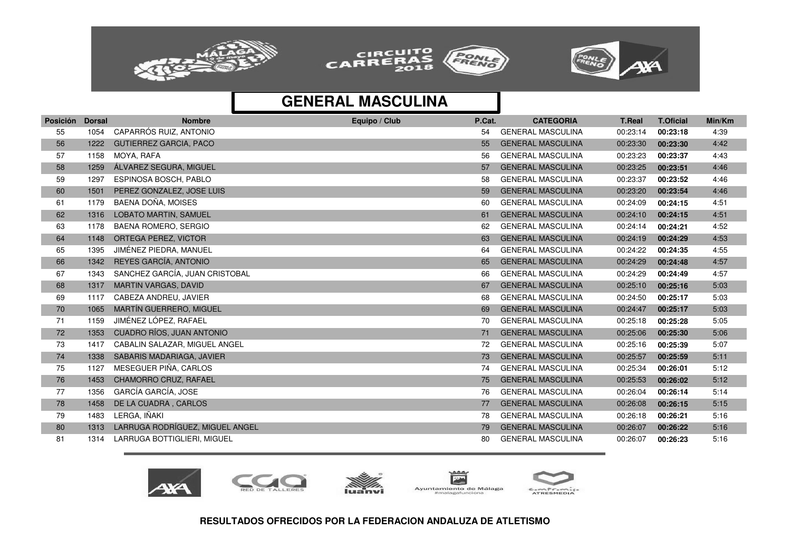





| <b>Posición</b> | <b>Dorsal</b> | <b>Nombre</b>                    | Equipo / Club | P.Cat. | <b>CATEGORIA</b>         | <b>T.Real</b> | <b>T.Oficial</b> | Min/Km |
|-----------------|---------------|----------------------------------|---------------|--------|--------------------------|---------------|------------------|--------|
| 55              | 1054          | CAPARRÓS RUIZ, ANTONIO           |               | 54     | <b>GENERAL MASCULINA</b> | 00:23:14      | 00:23:18         | 4:39   |
| 56              | 1222          | <b>GUTIERREZ GARCIA, PACO</b>    |               | 55     | <b>GENERAL MASCULINA</b> | 00:23:30      | 00:23:30         | 4:42   |
| 57              | 1158          | MOYA, RAFA                       |               | 56     | <b>GENERAL MASCULINA</b> | 00:23:23      | 00:23:37         | 4:43   |
| 58              | 1259          | ÁLVAREZ SEGURA, MIGUEL           |               | 57     | <b>GENERAL MASCULINA</b> | 00:23:25      | 00:23:51         | 4:46   |
| 59              | 1297          | ESPINOSA BOSCH, PABLO            |               | 58     | <b>GENERAL MASCULINA</b> | 00:23:37      | 00:23:52         | 4:46   |
| 60              | 1501          | PEREZ GONZALEZ, JOSE LUIS        |               | 59     | <b>GENERAL MASCULINA</b> | 00:23:20      | 00:23:54         | 4:46   |
| 61              | 1179          | BAENA DOÑA, MOISES               |               | 60     | <b>GENERAL MASCULINA</b> | 00:24:09      | 00:24:15         | 4:51   |
| 62              | 1316          | <b>LOBATO MARTIN, SAMUEL</b>     |               | 61     | <b>GENERAL MASCULINA</b> | 00:24:10      | 00:24:15         | 4:51   |
| 63              | 1178          | <b>BAENA ROMERO, SERGIO</b>      |               | 62     | <b>GENERAL MASCULINA</b> | 00:24:14      | 00:24:21         | 4:52   |
| 64              | 1148          | ORTEGA PEREZ, VICTOR             |               | 63     | <b>GENERAL MASCULINA</b> | 00:24:19      | 00:24:29         | 4:53   |
| 65              | 1395          | JIMÉNEZ PIEDRA, MANUEL           |               | 64     | <b>GENERAL MASCULINA</b> | 00:24:22      | 00:24:35         | 4:55   |
| 66              | 1342          | REYES GARCÍA, ANTONIO            |               | 65     | <b>GENERAL MASCULINA</b> | 00:24:29      | 00:24:48         | 4:57   |
| 67              | 1343          | SANCHEZ GARCÍA, JUAN CRISTOBAL   |               | 66     | <b>GENERAL MASCULINA</b> | 00:24:29      | 00:24:49         | 4:57   |
| 68              | 1317          | <b>MARTIN VARGAS, DAVID</b>      |               | 67     | <b>GENERAL MASCULINA</b> | 00:25:10      | 00:25:16         | 5:03   |
| 69              | 1117          | CABEZA ANDREU, JAVIER            |               | 68     | <b>GENERAL MASCULINA</b> | 00:24:50      | 00:25:17         | 5:03   |
| 70              | 1065          | MARTÍN GUERRERO, MIGUEL          |               | 69     | <b>GENERAL MASCULINA</b> | 00:24:47      | 00:25:17         | 5:03   |
| 71              | 1159          | JIMÉNEZ LÓPEZ, RAFAEL            |               | 70     | <b>GENERAL MASCULINA</b> | 00:25:18      | 00:25:28         | 5:05   |
| 72              | 1353          | <b>CUADRO RÍOS, JUAN ANTONIO</b> |               | 71     | <b>GENERAL MASCULINA</b> | 00:25:06      | 00:25:30         | 5:06   |
| 73              | 1417          | CABALIN SALAZAR, MIGUEL ANGEL    |               | 72     | <b>GENERAL MASCULINA</b> | 00:25:16      | 00:25:39         | 5:07   |
| 74              | 1338          | SABARIS MADARIAGA, JAVIER        |               | 73     | <b>GENERAL MASCULINA</b> | 00:25:57      | 00:25:59         | 5:11   |
| 75              | 1127          | MESEGUER PIÑA, CARLOS            |               | 74     | <b>GENERAL MASCULINA</b> | 00:25:34      | 00:26:01         | 5:12   |
| 76              | 1453          | CHAMORRO CRUZ, RAFAEL            |               | 75     | <b>GENERAL MASCULINA</b> | 00:25:53      | 00:26:02         | 5:12   |
| 77              | 1356          | GARCÍA GARCÍA, JOSE              |               | 76     | <b>GENERAL MASCULINA</b> | 00:26:04      | 00:26:14         | 5:14   |
| 78              | 1458          | DE LA CUADRA, CARLOS             |               | 77     | <b>GENERAL MASCULINA</b> | 00:26:08      | 00:26:15         | 5:15   |
| 79              | 1483          | LERGA, IÑAKI                     |               | 78     | <b>GENERAL MASCULINA</b> | 00:26:18      | 00:26:21         | 5:16   |
| 80              | 1313          | LARRUGA RODRÍGUEZ, MIGUEL ANGEL  |               | 79     | <b>GENERAL MASCULINA</b> | 00:26:07      | 00:26:22         | 5:16   |
| 81              | 1314          | LARRUGA BOTTIGLIERI, MIGUEL      |               | 80     | <b>GENERAL MASCULINA</b> | 00:26:07      | 00:26:23         | 5:16   |









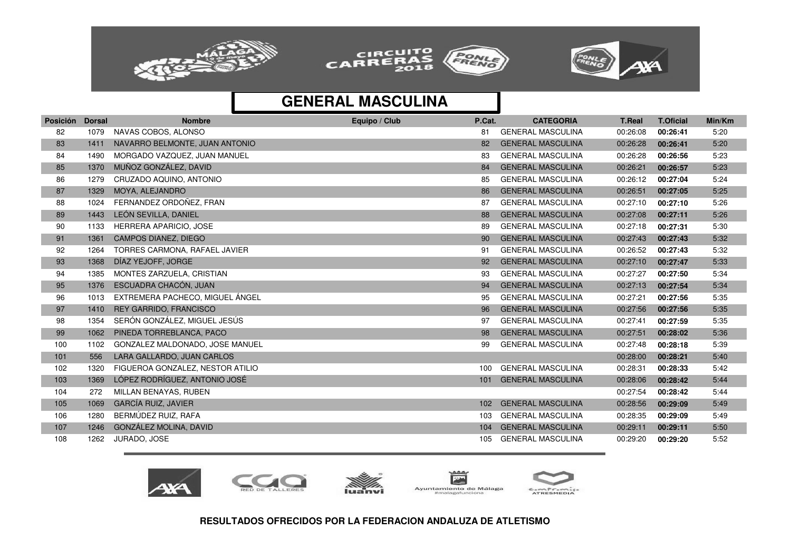





| <b>Posición</b> | <b>Dorsal</b> | <b>Nombre</b>                    | Equipo / Club | P.Cat. | <b>CATEGORIA</b>         | <b>T.Real</b> | <b>T.Oficial</b> | Min/Km |
|-----------------|---------------|----------------------------------|---------------|--------|--------------------------|---------------|------------------|--------|
| 82              | 1079          | NAVAS COBOS, ALONSO              |               | 81     | <b>GENERAL MASCULINA</b> | 00:26:08      | 00:26:41         | 5:20   |
| 83              | 1411          | NAVARRO BELMONTE, JUAN ANTONIO   |               | 82     | <b>GENERAL MASCULINA</b> | 00:26:28      | 00:26:41         | 5:20   |
| 84              | 1490          | MORGADO VAZQUEZ, JUAN MANUEL     |               | 83     | <b>GENERAL MASCULINA</b> | 00:26:28      | 00:26:56         | 5:23   |
| 85              | 1370          | MUÑOZ GONZÁLEZ, DAVID            |               | 84     | <b>GENERAL MASCULINA</b> | 00:26:21      | 00:26:57         | 5:23   |
| 86              | 1279          | CRUZADO AQUINO, ANTONIO          |               | 85     | <b>GENERAL MASCULINA</b> | 00:26:12      | 00:27:04         | 5:24   |
| 87              | 1329          | MOYA, ALEJANDRO                  |               | 86     | <b>GENERAL MASCULINA</b> | 00:26:51      | 00:27:05         | 5:25   |
| 88              | 1024          | FERNANDEZ ORDOÑEZ, FRAN          |               | 87     | <b>GENERAL MASCULINA</b> | 00:27:10      | 00:27:10         | 5:26   |
| 89              | 1443          | LEÓN SEVILLA, DANIEL             |               | 88     | <b>GENERAL MASCULINA</b> | 00:27:08      | 00:27:11         | 5:26   |
| 90              | 1133          | HERRERA APARICIO, JOSE           |               | 89     | <b>GENERAL MASCULINA</b> | 00:27:18      | 00:27:31         | 5:30   |
| 91              | 1361          | <b>CAMPOS DIANEZ, DIEGO</b>      |               | 90     | <b>GENERAL MASCULINA</b> | 00:27:43      | 00:27:43         | 5:32   |
| 92              | 1264          | TORRES CARMONA, RAFAEL JAVIER    |               | 91     | <b>GENERAL MASCULINA</b> | 00:26:52      | 00:27:43         | 5:32   |
| 93              | 1368          | DÍAZ YEJOFF, JORGE               |               | 92     | <b>GENERAL MASCULINA</b> | 00:27:10      | 00:27:47         | 5:33   |
| 94              | 1385          | MONTES ZARZUELA, CRISTIAN        |               | 93     | <b>GENERAL MASCULINA</b> | 00:27:27      | 00:27:50         | 5:34   |
| 95              | 1376          | ESCUADRA CHACÓN, JUAN            |               | 94     | <b>GENERAL MASCULINA</b> | 00:27:13      | 00:27:54         | 5:34   |
| 96              | 1013          | EXTREMERA PACHECO, MIGUEL ANGEL  |               | 95     | <b>GENERAL MASCULINA</b> | 00:27:21      | 00:27:56         | 5:35   |
| 97              | 1410          | <b>REY GARRIDO, FRANCISCO</b>    |               | 96     | <b>GENERAL MASCULINA</b> | 00:27:56      | 00:27:56         | 5:35   |
| 98              | 1354          | SERÓN GONZÁLEZ, MIGUEL JESÚS     |               | 97     | <b>GENERAL MASCULINA</b> | 00:27:41      | 00:27:59         | 5:35   |
| 99              | 1062          | PINEDA TORREBLANCA, PACO         |               | 98     | <b>GENERAL MASCULINA</b> | 00:27:51      | 00:28:02         | 5:36   |
| 100             | 1102          | GONZALEZ MALDONADO, JOSE MANUEL  |               | 99     | <b>GENERAL MASCULINA</b> | 00:27:48      | 00:28:18         | 5:39   |
| 101             | 556           | LARA GALLARDO, JUAN CARLOS       |               |        |                          | 00:28:00      | 00:28:21         | 5:40   |
| 102             | 1320          | FIGUEROA GONZALEZ, NESTOR ATILIO |               | 100    | <b>GENERAL MASCULINA</b> | 00:28:31      | 00:28:33         | 5:42   |
| 103             | 1369          | LÓPEZ RODRÍGUEZ, ANTONIO JOSÉ    |               | 101    | <b>GENERAL MASCULINA</b> | 00:28:06      | 00:28:42         | 5:44   |
| 104             | 272           | MILLAN BENAYAS, RUBEN            |               |        |                          | 00:27:54      | 00:28:42         | 5:44   |
| 105             | 1069          | <b>GARCÍA RUIZ, JAVIER</b>       |               | 102    | <b>GENERAL MASCULINA</b> | 00:28:56      | 00:29:09         | 5:49   |
| 106             | 1280          | BERMÚDEZ RUIZ, RAFA              |               | 103    | <b>GENERAL MASCULINA</b> | 00:28:35      | 00:29:09         | 5:49   |
| 107             | 1246          | GONZÁLEZ MOLINA, DAVID           |               | 104    | <b>GENERAL MASCULINA</b> | 00:29:11      | 00:29:11         | 5:50   |
| 108             | 1262          | JURADO, JOSE                     |               | 105    | <b>GENERAL MASCULINA</b> | 00:29:20      | 00:29:20         | 5:52   |









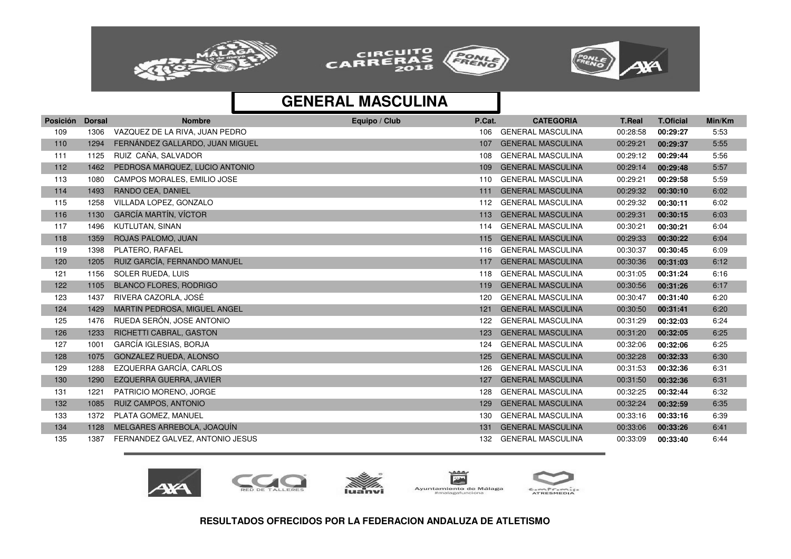





| <b>Posición</b> | <b>Dorsal</b> | <b>Nombre</b>                   | Equipo / Club | P.Cat. | <b>CATEGORIA</b>         | <b>T.Real</b> | <b>T.Oficial</b> | Min/Km |
|-----------------|---------------|---------------------------------|---------------|--------|--------------------------|---------------|------------------|--------|
| 109             | 1306          | VAZQUEZ DE LA RIVA, JUAN PEDRO  |               | 106    | <b>GENERAL MASCULINA</b> | 00:28:58      | 00:29:27         | 5:53   |
| 110             | 1294          | FERNÁNDEZ GALLARDO, JUAN MIGUEL |               | 107    | <b>GENERAL MASCULINA</b> | 00:29:21      | 00:29:37         | 5:55   |
| 111             | 1125          | RUIZ CAÑA, SALVADOR             |               | 108    | <b>GENERAL MASCULINA</b> | 00:29:12      | 00:29:44         | 5:56   |
| 112             | 1462          | PEDROSA MARQUEZ, LUCIO ANTONIO  |               | 109    | <b>GENERAL MASCULINA</b> | 00:29:14      | 00:29:48         | 5:57   |
| 113             | 1080          | CAMPOS MORALES, EMILIO JOSE     |               | 110    | <b>GENERAL MASCULINA</b> | 00:29:21      | 00:29:58         | 5:59   |
| 114             | 1493          | RANDO CEA, DANIEL               |               | 111    | <b>GENERAL MASCULINA</b> | 00:29:32      | 00:30:10         | 6:02   |
| 115             | 1258          | VILLADA LOPEZ, GONZALO          |               | 112    | <b>GENERAL MASCULINA</b> | 00:29:32      | 00:30:11         | 6:02   |
| 116             | 1130          | <b>GARCÍA MARTÍN, VÍCTOR</b>    |               | 113    | <b>GENERAL MASCULINA</b> | 00:29:31      | 00:30:15         | 6:03   |
| 117             | 1496          | KUTLUTAN, SINAN                 |               | 114    | <b>GENERAL MASCULINA</b> | 00:30:21      | 00:30:21         | 6:04   |
| 118             | 1359          | ROJAS PALOMO, JUAN              |               | 115    | <b>GENERAL MASCULINA</b> | 00:29:33      | 00:30:22         | 6:04   |
| 119             | 1398          | PLATERO, RAFAEL                 |               | 116    | <b>GENERAL MASCULINA</b> | 00:30:37      | 00:30:45         | 6:09   |
| 120             | 1205          | RUIZ GARCÍA, FERNANDO MANUEL    |               | 117    | <b>GENERAL MASCULINA</b> | 00:30:36      | 00:31:03         | 6:12   |
| 121             | 1156          | SOLER RUEDA, LUIS               |               | 118    | <b>GENERAL MASCULINA</b> | 00:31:05      | 00:31:24         | 6:16   |
| 122             | 1105          | <b>BLANCO FLORES, RODRIGO</b>   |               | 119    | <b>GENERAL MASCULINA</b> | 00:30:56      | 00:31:26         | 6:17   |
| 123             | 1437          | RIVERA CAZORLA, JOSÉ            |               | 120    | <b>GENERAL MASCULINA</b> | 00:30:47      | 00:31:40         | 6:20   |
| 124             | 1429          | MARTIN PEDROSA, MIGUEL ANGEL    |               | 121    | <b>GENERAL MASCULINA</b> | 00:30:50      | 00:31:41         | 6:20   |
| 125             | 1476          | RUEDA SERÓN, JOSE ANTONIO       |               | 122    | <b>GENERAL MASCULINA</b> | 00:31:29      | 00:32:03         | 6:24   |
| 126             | 1233          | RICHETTI CABRAL, GASTON         |               | 123    | <b>GENERAL MASCULINA</b> | 00:31:20      | 00:32:05         | 6:25   |
| 127             | 1001          | GARCÍA IGLESIAS, BORJA          |               | 124    | <b>GENERAL MASCULINA</b> | 00:32:06      | 00:32:06         | 6:25   |
| 128             | 1075          | GONZALEZ RUEDA, ALONSO          |               | 125    | <b>GENERAL MASCULINA</b> | 00:32:28      | 00:32:33         | 6:30   |
| 129             | 1288          | EZQUERRA GARCÍA, CARLOS         |               | 126    | <b>GENERAL MASCULINA</b> | 00:31:53      | 00:32:36         | 6:31   |
| 130             | 1290          | EZQUERRA GUERRA, JAVIER         |               | 127    | <b>GENERAL MASCULINA</b> | 00:31:50      | 00:32:36         | 6:31   |
| 131             | 1221          | PATRICIO MORENO, JORGE          |               | 128    | <b>GENERAL MASCULINA</b> | 00:32:25      | 00:32:44         | 6:32   |
| 132             | 1085          | <b>RUIZ CAMPOS, ANTONIO</b>     |               | 129    | <b>GENERAL MASCULINA</b> | 00:32:24      | 00:32:59         | 6:35   |
| 133             | 1372          | PLATA GOMEZ, MANUEL             |               | 130    | <b>GENERAL MASCULINA</b> | 00:33:16      | 00:33:16         | 6:39   |
| 134             | 1128          | MELGARES ARREBOLA, JOAQUÍN      |               | 131    | <b>GENERAL MASCULINA</b> | 00:33:06      | 00:33:26         | 6:41   |
| 135             | 1387          | FERNANDEZ GALVEZ, ANTONIO JESUS |               | 132    | <b>GENERAL MASCULINA</b> | 00:33:09      | 00:33:40         | 6:44   |









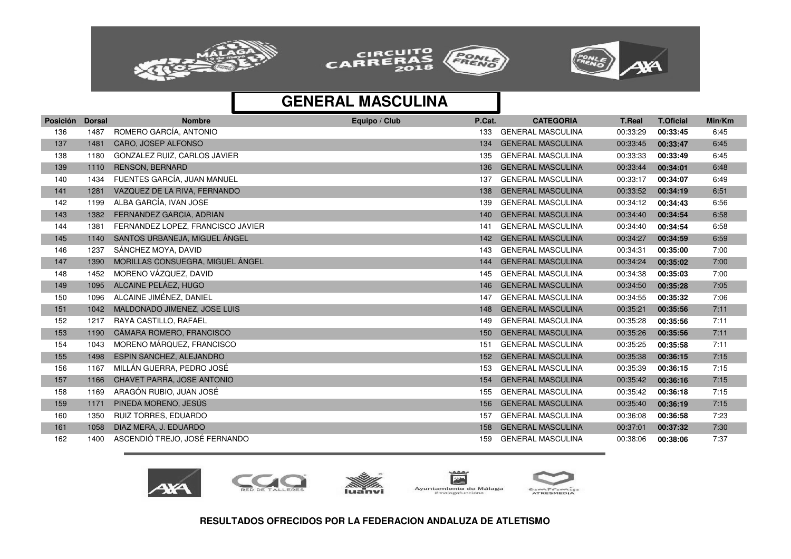





| ROMERO GARCÍA, ANTONIO<br><b>GENERAL MASCULINA</b><br>1487<br>6:45<br>136<br>00:33:29<br>133<br>00:33:45<br>CARO, JOSEP ALFONSO<br><b>GENERAL MASCULINA</b><br>137<br>1481<br>134<br>00:33:45<br>00:33:47<br>6:45<br>GONZALEZ RUIZ, CARLOS JAVIER<br><b>GENERAL MASCULINA</b><br>00:33:33<br>6:45<br>138<br>1180<br>135<br>00:33:49<br><b>RENSON, BERNARD</b><br><b>GENERAL MASCULINA</b><br>00:33:44<br>6:48<br>139<br>1110<br>136<br>00:34:01<br>FUENTES GARCÍA. JUAN MANUEL<br><b>GENERAL MASCULINA</b><br>140<br>1434<br>00:33:17<br>00:34:07<br>6:49<br>137<br>VAZQUEZ DE LA RIVA, FERNANDO<br><b>GENERAL MASCULINA</b><br>6:51<br>141<br>1281<br>00:33:52<br>138<br>00:34:19<br>ALBA GARCÍA, IVAN JOSE<br><b>GENERAL MASCULINA</b><br>6:56<br>142<br>1199<br>00:34:12<br>139<br>00:34:43<br>FERNANDEZ GARCIA, ADRIAN<br><b>GENERAL MASCULINA</b><br>143<br>1382<br>00:34:40<br>6:58<br>140<br>00:34:54<br>144<br>FERNANDEZ LOPEZ, FRANCISCO JAVIER<br><b>GENERAL MASCULINA</b><br>00:34:40<br>6:58<br>1381<br>00:34:54<br>141<br>SANTOS URBANEJA, MIGUEL ÁNGEL<br>145<br><b>GENERAL MASCULINA</b><br>6:59<br>1140<br>00:34:27<br>142<br>00:34:59<br>SÁNCHEZ MOYA, DAVID<br>146<br>1237<br><b>GENERAL MASCULINA</b><br>00:34:31<br>7:00<br>00:35:00<br>143<br>MORILLAS CONSUEGRA, MIGUEL ÁNGEL<br><b>GENERAL MASCULINA</b><br>147<br>00:34:24<br>7:00<br>1390<br>144<br>00:35:02<br>MORENO VÁZQUEZ, DAVID<br>148<br>1452<br><b>GENERAL MASCULINA</b><br>00:34:38<br>00:35:03<br>7:00<br>145<br>ALCAINE PELÁEZ, HUGO<br><b>GENERAL MASCULINA</b><br>149<br>1095<br>00:34:50<br>7:05<br>146<br>00:35:28<br>ALCAINE JIMÉNEZ, DANIEL<br><b>GENERAL MASCULINA</b><br>150<br>1096<br>00:34:55<br>7:06<br>147<br>00:35:32<br>MALDONADO JIMENEZ, JOSE LUIS<br><b>GENERAL MASCULINA</b><br>7:11<br>151<br>1042<br>00:35:21<br>148<br>00:35:56<br>RAYA CASTILLO, RAFAEL<br><b>GENERAL MASCULINA</b><br>152<br>1217<br>00:35:28<br>7:11<br>149<br>00:35:56<br>CÁMARA ROMERO, FRANCISCO<br><b>GENERAL MASCULINA</b><br>7:11<br>153<br>1190<br>00:35:26<br>00:35:56<br>150<br>MORENO MÁRQUEZ, FRANCISCO<br>154<br>1043<br><b>GENERAL MASCULINA</b><br>00:35:25<br>7:11<br>151<br>00:35:58<br><b>ESPIN SANCHEZ, ALEJANDRO</b><br><b>GENERAL MASCULINA</b><br>155<br>1498<br>00:35:38<br>00:36:15<br>7:15<br>152<br>MILLÁN GUERRA. PEDRO JOSÉ<br><b>GENERAL MASCULINA</b><br>156<br>1167<br>00:35:39<br>7:15<br>00:36:15<br>153<br>CHAVET PARRA, JOSE ANTONIO<br><b>GENERAL MASCULINA</b><br>157<br>1166<br>00:35:42<br>00:36:16<br>7:15<br>154<br>ARAGÓN RUBIO, JUAN JOSÉ<br><b>GENERAL MASCULINA</b><br>158<br>1169<br>00:35:42<br>7:15<br>155<br>00:36:18<br>PINEDA MORENO, JESÚS<br><b>GENERAL MASCULINA</b><br>7:15<br>159<br>1171<br>00:35:40<br>00:36:19<br>156<br><b>RUIZ TORRES, EDUARDO</b><br>GENERAL MASCULINA<br>160<br>1350<br>00:36:08<br>7:23<br>157<br>00:36:58<br>DIAZ MERA, J. EDUARDO<br><b>GENERAL MASCULINA</b><br>161<br>1058<br>00:37:01<br>00:37:32<br>7:30<br>158<br>ASCENDIÓ TREJO, JOSÉ FERNANDO<br><b>GENERAL MASCULINA</b><br>162<br>1400<br>00:38:06<br>7:37<br>159<br>00:38:06 | Posición | <b>Dorsal</b> | <b>Nombre</b> | Equipo / Club | P.Cat. | <b>CATEGORIA</b> | <b>T.Real</b> | <b>T.Oficial</b> | Min/Km |
|------------------------------------------------------------------------------------------------------------------------------------------------------------------------------------------------------------------------------------------------------------------------------------------------------------------------------------------------------------------------------------------------------------------------------------------------------------------------------------------------------------------------------------------------------------------------------------------------------------------------------------------------------------------------------------------------------------------------------------------------------------------------------------------------------------------------------------------------------------------------------------------------------------------------------------------------------------------------------------------------------------------------------------------------------------------------------------------------------------------------------------------------------------------------------------------------------------------------------------------------------------------------------------------------------------------------------------------------------------------------------------------------------------------------------------------------------------------------------------------------------------------------------------------------------------------------------------------------------------------------------------------------------------------------------------------------------------------------------------------------------------------------------------------------------------------------------------------------------------------------------------------------------------------------------------------------------------------------------------------------------------------------------------------------------------------------------------------------------------------------------------------------------------------------------------------------------------------------------------------------------------------------------------------------------------------------------------------------------------------------------------------------------------------------------------------------------------------------------------------------------------------------------------------------------------------------------------------------------------------------------------------------------------------------------------------------------------------------------------------------------------------------------------------------------------------------------------------------------------------------------------------------------------------------------------------------------------------------------------------------------------------------------------------------------------------------------------------------------|----------|---------------|---------------|---------------|--------|------------------|---------------|------------------|--------|
|                                                                                                                                                                                                                                                                                                                                                                                                                                                                                                                                                                                                                                                                                                                                                                                                                                                                                                                                                                                                                                                                                                                                                                                                                                                                                                                                                                                                                                                                                                                                                                                                                                                                                                                                                                                                                                                                                                                                                                                                                                                                                                                                                                                                                                                                                                                                                                                                                                                                                                                                                                                                                                                                                                                                                                                                                                                                                                                                                                                                                                                                                                      |          |               |               |               |        |                  |               |                  |        |
|                                                                                                                                                                                                                                                                                                                                                                                                                                                                                                                                                                                                                                                                                                                                                                                                                                                                                                                                                                                                                                                                                                                                                                                                                                                                                                                                                                                                                                                                                                                                                                                                                                                                                                                                                                                                                                                                                                                                                                                                                                                                                                                                                                                                                                                                                                                                                                                                                                                                                                                                                                                                                                                                                                                                                                                                                                                                                                                                                                                                                                                                                                      |          |               |               |               |        |                  |               |                  |        |
|                                                                                                                                                                                                                                                                                                                                                                                                                                                                                                                                                                                                                                                                                                                                                                                                                                                                                                                                                                                                                                                                                                                                                                                                                                                                                                                                                                                                                                                                                                                                                                                                                                                                                                                                                                                                                                                                                                                                                                                                                                                                                                                                                                                                                                                                                                                                                                                                                                                                                                                                                                                                                                                                                                                                                                                                                                                                                                                                                                                                                                                                                                      |          |               |               |               |        |                  |               |                  |        |
|                                                                                                                                                                                                                                                                                                                                                                                                                                                                                                                                                                                                                                                                                                                                                                                                                                                                                                                                                                                                                                                                                                                                                                                                                                                                                                                                                                                                                                                                                                                                                                                                                                                                                                                                                                                                                                                                                                                                                                                                                                                                                                                                                                                                                                                                                                                                                                                                                                                                                                                                                                                                                                                                                                                                                                                                                                                                                                                                                                                                                                                                                                      |          |               |               |               |        |                  |               |                  |        |
|                                                                                                                                                                                                                                                                                                                                                                                                                                                                                                                                                                                                                                                                                                                                                                                                                                                                                                                                                                                                                                                                                                                                                                                                                                                                                                                                                                                                                                                                                                                                                                                                                                                                                                                                                                                                                                                                                                                                                                                                                                                                                                                                                                                                                                                                                                                                                                                                                                                                                                                                                                                                                                                                                                                                                                                                                                                                                                                                                                                                                                                                                                      |          |               |               |               |        |                  |               |                  |        |
|                                                                                                                                                                                                                                                                                                                                                                                                                                                                                                                                                                                                                                                                                                                                                                                                                                                                                                                                                                                                                                                                                                                                                                                                                                                                                                                                                                                                                                                                                                                                                                                                                                                                                                                                                                                                                                                                                                                                                                                                                                                                                                                                                                                                                                                                                                                                                                                                                                                                                                                                                                                                                                                                                                                                                                                                                                                                                                                                                                                                                                                                                                      |          |               |               |               |        |                  |               |                  |        |
|                                                                                                                                                                                                                                                                                                                                                                                                                                                                                                                                                                                                                                                                                                                                                                                                                                                                                                                                                                                                                                                                                                                                                                                                                                                                                                                                                                                                                                                                                                                                                                                                                                                                                                                                                                                                                                                                                                                                                                                                                                                                                                                                                                                                                                                                                                                                                                                                                                                                                                                                                                                                                                                                                                                                                                                                                                                                                                                                                                                                                                                                                                      |          |               |               |               |        |                  |               |                  |        |
|                                                                                                                                                                                                                                                                                                                                                                                                                                                                                                                                                                                                                                                                                                                                                                                                                                                                                                                                                                                                                                                                                                                                                                                                                                                                                                                                                                                                                                                                                                                                                                                                                                                                                                                                                                                                                                                                                                                                                                                                                                                                                                                                                                                                                                                                                                                                                                                                                                                                                                                                                                                                                                                                                                                                                                                                                                                                                                                                                                                                                                                                                                      |          |               |               |               |        |                  |               |                  |        |
|                                                                                                                                                                                                                                                                                                                                                                                                                                                                                                                                                                                                                                                                                                                                                                                                                                                                                                                                                                                                                                                                                                                                                                                                                                                                                                                                                                                                                                                                                                                                                                                                                                                                                                                                                                                                                                                                                                                                                                                                                                                                                                                                                                                                                                                                                                                                                                                                                                                                                                                                                                                                                                                                                                                                                                                                                                                                                                                                                                                                                                                                                                      |          |               |               |               |        |                  |               |                  |        |
|                                                                                                                                                                                                                                                                                                                                                                                                                                                                                                                                                                                                                                                                                                                                                                                                                                                                                                                                                                                                                                                                                                                                                                                                                                                                                                                                                                                                                                                                                                                                                                                                                                                                                                                                                                                                                                                                                                                                                                                                                                                                                                                                                                                                                                                                                                                                                                                                                                                                                                                                                                                                                                                                                                                                                                                                                                                                                                                                                                                                                                                                                                      |          |               |               |               |        |                  |               |                  |        |
|                                                                                                                                                                                                                                                                                                                                                                                                                                                                                                                                                                                                                                                                                                                                                                                                                                                                                                                                                                                                                                                                                                                                                                                                                                                                                                                                                                                                                                                                                                                                                                                                                                                                                                                                                                                                                                                                                                                                                                                                                                                                                                                                                                                                                                                                                                                                                                                                                                                                                                                                                                                                                                                                                                                                                                                                                                                                                                                                                                                                                                                                                                      |          |               |               |               |        |                  |               |                  |        |
|                                                                                                                                                                                                                                                                                                                                                                                                                                                                                                                                                                                                                                                                                                                                                                                                                                                                                                                                                                                                                                                                                                                                                                                                                                                                                                                                                                                                                                                                                                                                                                                                                                                                                                                                                                                                                                                                                                                                                                                                                                                                                                                                                                                                                                                                                                                                                                                                                                                                                                                                                                                                                                                                                                                                                                                                                                                                                                                                                                                                                                                                                                      |          |               |               |               |        |                  |               |                  |        |
|                                                                                                                                                                                                                                                                                                                                                                                                                                                                                                                                                                                                                                                                                                                                                                                                                                                                                                                                                                                                                                                                                                                                                                                                                                                                                                                                                                                                                                                                                                                                                                                                                                                                                                                                                                                                                                                                                                                                                                                                                                                                                                                                                                                                                                                                                                                                                                                                                                                                                                                                                                                                                                                                                                                                                                                                                                                                                                                                                                                                                                                                                                      |          |               |               |               |        |                  |               |                  |        |
|                                                                                                                                                                                                                                                                                                                                                                                                                                                                                                                                                                                                                                                                                                                                                                                                                                                                                                                                                                                                                                                                                                                                                                                                                                                                                                                                                                                                                                                                                                                                                                                                                                                                                                                                                                                                                                                                                                                                                                                                                                                                                                                                                                                                                                                                                                                                                                                                                                                                                                                                                                                                                                                                                                                                                                                                                                                                                                                                                                                                                                                                                                      |          |               |               |               |        |                  |               |                  |        |
|                                                                                                                                                                                                                                                                                                                                                                                                                                                                                                                                                                                                                                                                                                                                                                                                                                                                                                                                                                                                                                                                                                                                                                                                                                                                                                                                                                                                                                                                                                                                                                                                                                                                                                                                                                                                                                                                                                                                                                                                                                                                                                                                                                                                                                                                                                                                                                                                                                                                                                                                                                                                                                                                                                                                                                                                                                                                                                                                                                                                                                                                                                      |          |               |               |               |        |                  |               |                  |        |
|                                                                                                                                                                                                                                                                                                                                                                                                                                                                                                                                                                                                                                                                                                                                                                                                                                                                                                                                                                                                                                                                                                                                                                                                                                                                                                                                                                                                                                                                                                                                                                                                                                                                                                                                                                                                                                                                                                                                                                                                                                                                                                                                                                                                                                                                                                                                                                                                                                                                                                                                                                                                                                                                                                                                                                                                                                                                                                                                                                                                                                                                                                      |          |               |               |               |        |                  |               |                  |        |
|                                                                                                                                                                                                                                                                                                                                                                                                                                                                                                                                                                                                                                                                                                                                                                                                                                                                                                                                                                                                                                                                                                                                                                                                                                                                                                                                                                                                                                                                                                                                                                                                                                                                                                                                                                                                                                                                                                                                                                                                                                                                                                                                                                                                                                                                                                                                                                                                                                                                                                                                                                                                                                                                                                                                                                                                                                                                                                                                                                                                                                                                                                      |          |               |               |               |        |                  |               |                  |        |
|                                                                                                                                                                                                                                                                                                                                                                                                                                                                                                                                                                                                                                                                                                                                                                                                                                                                                                                                                                                                                                                                                                                                                                                                                                                                                                                                                                                                                                                                                                                                                                                                                                                                                                                                                                                                                                                                                                                                                                                                                                                                                                                                                                                                                                                                                                                                                                                                                                                                                                                                                                                                                                                                                                                                                                                                                                                                                                                                                                                                                                                                                                      |          |               |               |               |        |                  |               |                  |        |
|                                                                                                                                                                                                                                                                                                                                                                                                                                                                                                                                                                                                                                                                                                                                                                                                                                                                                                                                                                                                                                                                                                                                                                                                                                                                                                                                                                                                                                                                                                                                                                                                                                                                                                                                                                                                                                                                                                                                                                                                                                                                                                                                                                                                                                                                                                                                                                                                                                                                                                                                                                                                                                                                                                                                                                                                                                                                                                                                                                                                                                                                                                      |          |               |               |               |        |                  |               |                  |        |
|                                                                                                                                                                                                                                                                                                                                                                                                                                                                                                                                                                                                                                                                                                                                                                                                                                                                                                                                                                                                                                                                                                                                                                                                                                                                                                                                                                                                                                                                                                                                                                                                                                                                                                                                                                                                                                                                                                                                                                                                                                                                                                                                                                                                                                                                                                                                                                                                                                                                                                                                                                                                                                                                                                                                                                                                                                                                                                                                                                                                                                                                                                      |          |               |               |               |        |                  |               |                  |        |
|                                                                                                                                                                                                                                                                                                                                                                                                                                                                                                                                                                                                                                                                                                                                                                                                                                                                                                                                                                                                                                                                                                                                                                                                                                                                                                                                                                                                                                                                                                                                                                                                                                                                                                                                                                                                                                                                                                                                                                                                                                                                                                                                                                                                                                                                                                                                                                                                                                                                                                                                                                                                                                                                                                                                                                                                                                                                                                                                                                                                                                                                                                      |          |               |               |               |        |                  |               |                  |        |
|                                                                                                                                                                                                                                                                                                                                                                                                                                                                                                                                                                                                                                                                                                                                                                                                                                                                                                                                                                                                                                                                                                                                                                                                                                                                                                                                                                                                                                                                                                                                                                                                                                                                                                                                                                                                                                                                                                                                                                                                                                                                                                                                                                                                                                                                                                                                                                                                                                                                                                                                                                                                                                                                                                                                                                                                                                                                                                                                                                                                                                                                                                      |          |               |               |               |        |                  |               |                  |        |
|                                                                                                                                                                                                                                                                                                                                                                                                                                                                                                                                                                                                                                                                                                                                                                                                                                                                                                                                                                                                                                                                                                                                                                                                                                                                                                                                                                                                                                                                                                                                                                                                                                                                                                                                                                                                                                                                                                                                                                                                                                                                                                                                                                                                                                                                                                                                                                                                                                                                                                                                                                                                                                                                                                                                                                                                                                                                                                                                                                                                                                                                                                      |          |               |               |               |        |                  |               |                  |        |
|                                                                                                                                                                                                                                                                                                                                                                                                                                                                                                                                                                                                                                                                                                                                                                                                                                                                                                                                                                                                                                                                                                                                                                                                                                                                                                                                                                                                                                                                                                                                                                                                                                                                                                                                                                                                                                                                                                                                                                                                                                                                                                                                                                                                                                                                                                                                                                                                                                                                                                                                                                                                                                                                                                                                                                                                                                                                                                                                                                                                                                                                                                      |          |               |               |               |        |                  |               |                  |        |
|                                                                                                                                                                                                                                                                                                                                                                                                                                                                                                                                                                                                                                                                                                                                                                                                                                                                                                                                                                                                                                                                                                                                                                                                                                                                                                                                                                                                                                                                                                                                                                                                                                                                                                                                                                                                                                                                                                                                                                                                                                                                                                                                                                                                                                                                                                                                                                                                                                                                                                                                                                                                                                                                                                                                                                                                                                                                                                                                                                                                                                                                                                      |          |               |               |               |        |                  |               |                  |        |
|                                                                                                                                                                                                                                                                                                                                                                                                                                                                                                                                                                                                                                                                                                                                                                                                                                                                                                                                                                                                                                                                                                                                                                                                                                                                                                                                                                                                                                                                                                                                                                                                                                                                                                                                                                                                                                                                                                                                                                                                                                                                                                                                                                                                                                                                                                                                                                                                                                                                                                                                                                                                                                                                                                                                                                                                                                                                                                                                                                                                                                                                                                      |          |               |               |               |        |                  |               |                  |        |
|                                                                                                                                                                                                                                                                                                                                                                                                                                                                                                                                                                                                                                                                                                                                                                                                                                                                                                                                                                                                                                                                                                                                                                                                                                                                                                                                                                                                                                                                                                                                                                                                                                                                                                                                                                                                                                                                                                                                                                                                                                                                                                                                                                                                                                                                                                                                                                                                                                                                                                                                                                                                                                                                                                                                                                                                                                                                                                                                                                                                                                                                                                      |          |               |               |               |        |                  |               |                  |        |







 $A - A$  $\overline{\mathbf{r}}$ Ayuntamiento de Málaga #malagafunciona

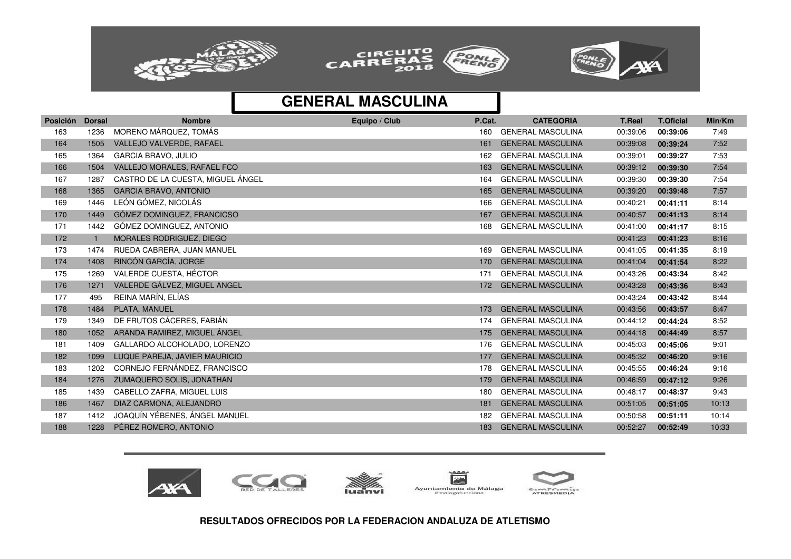





| <b>Posición</b> | <b>Dorsal</b> | <b>Nombre</b>                     | Equipo / Club | P.Cat. | <b>CATEGORIA</b>         | <b>T.Real</b> | <b>T.Oficial</b> | Min/Km |
|-----------------|---------------|-----------------------------------|---------------|--------|--------------------------|---------------|------------------|--------|
| 163             | 1236          | MORENO MÁRQUEZ, TOMÁS             |               | 160    | <b>GENERAL MASCULINA</b> | 00:39:06      | 00:39:06         | 7:49   |
| 164             | 1505          | VALLEJO VALVERDE, RAFAEL          |               | 161    | <b>GENERAL MASCULINA</b> | 00:39:08      | 00:39:24         | 7:52   |
| 165             | 1364          | <b>GARCIA BRAVO, JULIO</b>        |               | 162    | <b>GENERAL MASCULINA</b> | 00:39:01      | 00:39:27         | 7:53   |
| 166             | 1504          | VALLEJO MORALES, RAFAEL FCO       |               | 163    | <b>GENERAL MASCULINA</b> | 00:39:12      | 00:39:30         | 7:54   |
| 167             | 1287          | CASTRO DE LA CUESTA, MIGUEL ÁNGEL |               | 164    | <b>GENERAL MASCULINA</b> | 00:39:30      | 00:39:30         | 7:54   |
| 168             | 1365          | <b>GARCIA BRAVO, ANTONIO</b>      |               | 165    | <b>GENERAL MASCULINA</b> | 00:39:20      | 00:39:48         | 7:57   |
| 169             | 1446          | LEÓN GÓMEZ, NICOLÁS               |               | 166    | <b>GENERAL MASCULINA</b> | 00:40:21      | 00:41:11         | 8:14   |
| 170             | 1449          | GÓMEZ DOMINGUEZ, FRANCICSO        |               | 167    | <b>GENERAL MASCULINA</b> | 00:40:57      | 00:41:13         | 8:14   |
| 171             | 1442          | GÓMEZ DOMINGUEZ, ANTONIO          |               | 168    | <b>GENERAL MASCULINA</b> | 00:41:00      | 00:41:17         | 8:15   |
| 172             |               | MORALES RODRIGUEZ, DIEGO          |               |        |                          | 00:41:23      | 00:41:23         | 8:16   |
| 173             | 1474          | RUEDA CABRERA, JUAN MANUEL        |               | 169    | <b>GENERAL MASCULINA</b> | 00:41:05      | 00:41:35         | 8:19   |
| 174             | 1408          | RINCÓN GARCÍA, JORGE              |               | 170    | <b>GENERAL MASCULINA</b> | 00:41:04      | 00:41:54         | 8:22   |
| 175             | 1269          | VALERDE CUESTA, HÉCTOR            |               | 171    | <b>GENERAL MASCULINA</b> | 00:43:26      | 00:43:34         | 8:42   |
| 176             | 1271          | VALERDE GÁLVEZ, MIGUEL ANGEL      |               | 172    | <b>GENERAL MASCULINA</b> | 00:43:28      | 00:43:36         | 8:43   |
| 177             | 495           | REINA MARÍN, ELÍAS                |               |        |                          | 00:43:24      | 00:43:42         | 8:44   |
| 178             | 1484          | PLATA, MANUEL                     |               | 173    | <b>GENERAL MASCULINA</b> | 00:43:56      | 00:43:57         | 8:47   |
| 179             | 1349          | DE FRUTOS CÁCERES, FABIÁN         |               | 174    | <b>GENERAL MASCULINA</b> | 00:44:12      | 00:44:24         | 8:52   |
| 180             | 1052          | ARANDA RAMIREZ, MIGUEL ÁNGEL      |               | 175    | <b>GENERAL MASCULINA</b> | 00:44:18      | 00:44:49         | 8:57   |
| 181             | 1409          | GALLARDO ALCOHOLADO, LORENZO      |               | 176    | <b>GENERAL MASCULINA</b> | 00:45:03      | 00:45:06         | 9:01   |
| 182             | 1099          | LUQUE PAREJA, JAVIER MAURICIO     |               | 177    | <b>GENERAL MASCULINA</b> | 00:45:32      | 00:46:20         | 9:16   |
| 183             | 1202          | CORNEJO FERNÁNDEZ, FRANCISCO      |               | 178    | <b>GENERAL MASCULINA</b> | 00:45:55      | 00:46:24         | 9:16   |
| 184             | 1276          | ZUMAQUERO SOLIS, JONATHAN         |               | 179    | <b>GENERAL MASCULINA</b> | 00:46:59      | 00:47:12         | 9:26   |
| 185             | 1439          | CABELLO ZAFRA, MIGUEL LUIS        |               | 180    | <b>GENERAL MASCULINA</b> | 00:48:17      | 00:48:37         | 9:43   |
| 186             | 1467          | DIAZ CARMONA, ALEJANDRO           |               | 181    | <b>GENERAL MASCULINA</b> | 00:51:05      | 00:51:05         | 10:13  |
| 187             | 1412          | JOAQUÍN YÉBENES, ÁNGEL MANUEL     |               | 182    | <b>GENERAL MASCULINA</b> | 00:50:58      | 00:51:11         | 10:14  |
| 188             | 1228          | PÉREZ ROMERO, ANTONIO             |               | 183    | <b>GENERAL MASCULINA</b> | 00:52:27      | 00:52:49         | 10:33  |







 $A - A$  $\overline{\mathbf{r}}$ Ayuntamiento de Málaga #malagafunciona

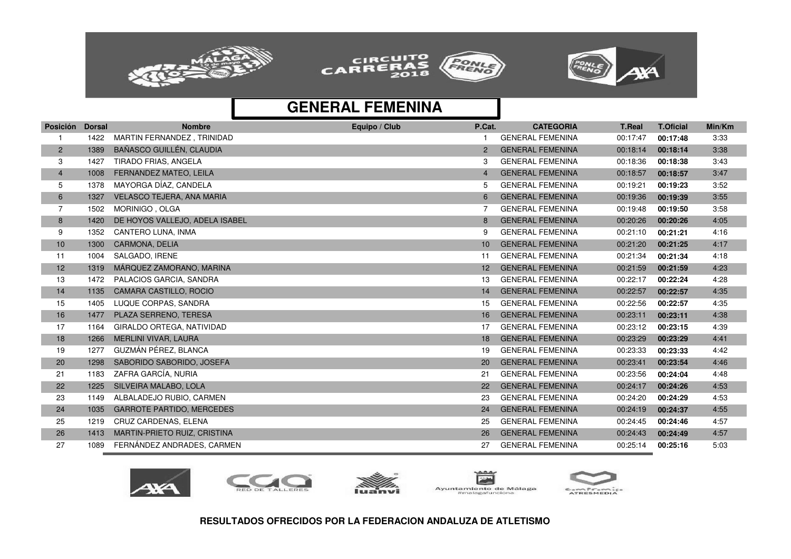





| Posición       | <b>Dorsal</b> | <b>Nombre</b>                    | Equipo / Club | P.Cat.          | <b>CATEGORIA</b>        | <b>T.Real</b> | <b>T.Oficial</b> | Min/Km |
|----------------|---------------|----------------------------------|---------------|-----------------|-------------------------|---------------|------------------|--------|
|                | 1422          | MARTIN FERNANDEZ, TRINIDAD       |               |                 | <b>GENERAL FEMENINA</b> | 00:17:47      | 00:17:48         | 3:33   |
| $\overline{2}$ | 1389          | BAÑASCO GUILLÉN, CLAUDIA         |               | $\overline{2}$  | <b>GENERAL FEMENINA</b> | 00:18:14      | 00:18:14         | 3:38   |
| 3              | 1427          | TIRADO FRIAS, ANGELA             |               | 3               | <b>GENERAL FEMENINA</b> | 00:18:36      | 00:18:38         | 3:43   |
| $\overline{4}$ | 1008          | FERNANDEZ MATEO, LEILA           |               | 4               | <b>GENERAL FEMENINA</b> | 00:18:57      | 00:18:57         | 3:47   |
| 5              | 1378          | MAYORGA DÍAZ, CANDELA            |               | 5               | <b>GENERAL FEMENINA</b> | 00:19:21      | 00:19:23         | 3:52   |
| 6              | 1327          | <b>VELASCO TEJERA, ANA MARIA</b> |               | 6               | <b>GENERAL FEMENINA</b> | 00:19:36      | 00:19:39         | 3:55   |
| $\overline{7}$ | 1502          | MORINIGO, OLGA                   |               |                 | <b>GENERAL FEMENINA</b> | 00:19:48      | 00:19:50         | 3:58   |
| 8              | 1420          | DE HOYOS VALLEJO, ADELA ISABEL   |               | 8               | <b>GENERAL FEMENINA</b> | 00:20:26      | 00:20:26         | 4:05   |
| 9              | 1352          | CANTERO LUNA, INMA               |               | 9               | <b>GENERAL FEMENINA</b> | 00:21:10      | 00:21:21         | 4:16   |
| 10             | 1300          | <b>CARMONA, DELIA</b>            |               | $10^{\circ}$    | <b>GENERAL FEMENINA</b> | 00:21:20      | 00:21:25         | 4:17   |
| 11             | 1004          | SALGADO, IRENE                   |               | 11              | <b>GENERAL FEMENINA</b> | 00:21:34      | 00:21:34         | 4:18   |
| 12             | 1319          | MÁRQUEZ ZAMORANO, MARINA         |               | 12 <sup>2</sup> | <b>GENERAL FEMENINA</b> | 00:21:59      | 00:21:59         | 4:23   |
| 13             | 1472          | PALACIOS GARCIA, SANDRA          |               | 13              | <b>GENERAL FEMENINA</b> | 00:22:17      | 00:22:24         | 4:28   |
| 14             | 1135          | CAMARA CASTILLO, ROCIO           |               | 14              | <b>GENERAL FEMENINA</b> | 00:22:57      | 00:22:57         | 4:35   |
| 15             | 1405          | LUQUE CORPAS, SANDRA             |               | 15              | <b>GENERAL FEMENINA</b> | 00:22:56      | 00:22:57         | 4:35   |
| 16             | 1477          | PLAZA SERRENO, TERESA            |               | 16              | <b>GENERAL FEMENINA</b> | 00:23:11      | 00:23:11         | 4:38   |
| 17             | 1164          | GIRALDO ORTEGA, NATIVIDAD        |               | 17              | <b>GENERAL FEMENINA</b> | 00:23:12      | 00:23:15         | 4:39   |
| 18             | 1266          | MERLINI VIVAR, LAURA             |               | 18              | <b>GENERAL FEMENINA</b> | 00:23:29      | 00:23:29         | 4:41   |
| 19             | 1277          | GUZMÁN PÉREZ. BLANCA             |               | 19              | <b>GENERAL FEMENINA</b> | 00:23:33      | 00:23:33         | 4:42   |
| 20             | 1298          | SABORIDO SABORIDO, JOSEFA        |               | 20              | <b>GENERAL FEMENINA</b> | 00:23:41      | 00:23:54         | 4:46   |
| 21             | 1183          | ZAFRA GARCÍA, NURIA              |               | 21              | <b>GENERAL FEMENINA</b> | 00:23:56      | 00:24:04         | 4:48   |
| 22             | 1225          | SILVEIRA MALABO, LOLA            |               | 22              | <b>GENERAL FEMENINA</b> | 00:24:17      | 00:24:26         | 4:53   |
| 23             | 1149          | ALBALADEJO RUBIO, CARMEN         |               | 23              | <b>GENERAL FEMENINA</b> | 00:24:20      | 00:24:29         | 4:53   |
| 24             | 1035          | <b>GARROTE PARTIDO, MERCEDES</b> |               | 24              | <b>GENERAL FEMENINA</b> | 00:24:19      | 00:24:37         | 4:55   |
| 25             | 1219          | CRUZ CARDENAS, ELENA             |               | 25              | <b>GENERAL FEMENINA</b> | 00:24:45      | 00:24:46         | 4:57   |
| 26             | 1413          | MARTIN-PRIETO RUIZ, CRISTINA     |               | 26              | <b>GENERAL FEMENINA</b> | 00:24:43      | 00:24:49         | 4:57   |
| 27             | 1089          | FERNANDEZ ANDRADES, CARMEN       |               | 27              | <b>GENERAL FEMENINA</b> | 00:25:14      | 00:25:16         | 5:03   |









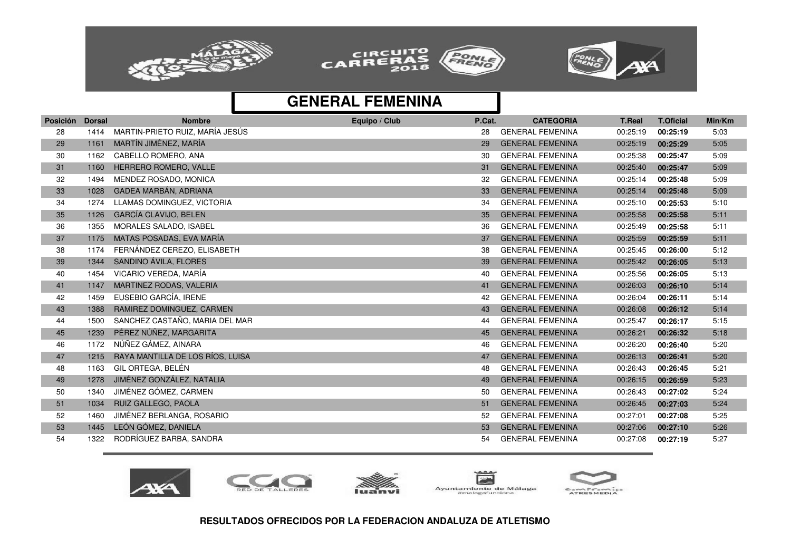





| Posición | <b>Dorsal</b> | <b>Nombre</b>                    | Equipo / Club | P.Cat. | <b>CATEGORIA</b>        | <b>T.Real</b> | <b>T.Oficial</b> | Min/Km |
|----------|---------------|----------------------------------|---------------|--------|-------------------------|---------------|------------------|--------|
| 28       | 1414          | MARTIN-PRIETO RUIZ, MARÍA JESÚS  |               | 28     | <b>GENERAL FEMENINA</b> | 00:25:19      | 00:25:19         | 5:03   |
| 29       | 1161          | MARTÍN JIMÉNEZ, MARÍA            |               | 29     | <b>GENERAL FEMENINA</b> | 00:25:19      | 00:25:29         | 5:05   |
| 30       | 1162          | CABELLO ROMERO, ANA              |               | 30     | <b>GENERAL FEMENINA</b> | 00:25:38      | 00:25:47         | 5:09   |
| 31       | 1160          | HERRERO ROMERO, VALLE            |               | 31     | <b>GENERAL FEMENINA</b> | 00:25:40      | 00:25:47         | 5:09   |
| 32       | 1494          | MENDEZ ROSADO, MONICA            |               | 32     | <b>GENERAL FEMENINA</b> | 00:25:14      | 00:25:48         | 5:09   |
| 33       | 1028          | GADEA MARBÁN, ADRIANA            |               | 33     | <b>GENERAL FEMENINA</b> | 00:25:14      | 00:25:48         | 5:09   |
| 34       | 1274          | LLAMAS DOMINGUEZ, VICTORIA       |               | 34     | <b>GENERAL FEMENINA</b> | 00:25:10      | 00:25:53         | 5:10   |
| 35       | 1126          | <b>GARCÍA CLAVIJO, BELEN</b>     |               | 35     | <b>GENERAL FEMENINA</b> | 00:25:58      | 00:25:58         | 5:11   |
| 36       | 1355          | <b>MORALES SALADO. ISABEL</b>    |               | 36     | <b>GENERAL FEMENINA</b> | 00:25:49      | 00:25:58         | 5:11   |
| 37       | 1175          | MATAS POSADAS, EVA MARÍA         |               | 37     | <b>GENERAL FEMENINA</b> | 00:25:59      | 00:25:59         | 5:11   |
| 38       | 1174          | FERNÁNDEZ CEREZO, ELISABETH      |               | 38     | <b>GENERAL FEMENINA</b> | 00:25:45      | 00:26:00         | 5:12   |
| 39       | 1344          | SANDINO ÁVILA, FLORES            |               | 39     | <b>GENERAL FEMENINA</b> | 00:25:42      | 00:26:05         | 5:13   |
| 40       | 1454          | VICARIO VEREDA, MARÍA            |               | 40     | <b>GENERAL FEMENINA</b> | 00:25:56      | 00:26:05         | 5:13   |
| 41       | 1147          | MARTINEZ RODAS, VALERIA          |               | 41     | <b>GENERAL FEMENINA</b> | 00:26:03      | 00:26:10         | 5:14   |
| 42       | 1459          | EUSEBIO GARCÍA, IRENE            |               | 42     | <b>GENERAL FEMENINA</b> | 00:26:04      | 00:26:11         | 5:14   |
| 43       | 1388          | RAMIREZ DOMINGUEZ, CARMEN        |               | 43     | <b>GENERAL FEMENINA</b> | 00:26:08      | 00:26:12         | 5:14   |
| 44       | 1500          | SANCHEZ CASTAÑO, MARIA DEL MAR   |               | 44     | <b>GENERAL FEMENINA</b> | 00:25:47      | 00:26:17         | 5:15   |
| 45       | 1239          | PÉREZ NÚÑEZ, MARGARITA           |               | 45     | <b>GENERAL FEMENINA</b> | 00:26:21      | 00:26:32         | 5:18   |
| 46       | 1172          | NÚÑEZ GÁMEZ, AINARA              |               | 46     | <b>GENERAL FEMENINA</b> | 00:26:20      | 00:26:40         | 5:20   |
| 47       | 1215          | RAYA MANTILLA DE LOS RÍOS, LUISA |               | 47     | <b>GENERAL FEMENINA</b> | 00:26:13      | 00:26:41         | 5:20   |
| 48       | 1163          | GIL ORTEGA, BELÉN                |               | 48     | <b>GENERAL FEMENINA</b> | 00:26:43      | 00:26:45         | 5:21   |
| 49       | 1278          | JIMÉNEZ GONZÁLEZ, NATALIA        |               | 49     | <b>GENERAL FEMENINA</b> | 00:26:15      | 00:26:59         | 5:23   |
| 50       | 1340          | JIMÉNEZ GÓMEZ, CARMEN            |               | 50     | <b>GENERAL FEMENINA</b> | 00:26:43      | 00:27:02         | 5:24   |
| 51       | 1034          | RUIZ GALLEGO, PAOLA              |               | 51     | <b>GENERAL FEMENINA</b> | 00:26:45      | 00:27:03         | 5:24   |
| 52       | 1460          | JIMÉNEZ BERLANGA, ROSARIO        |               | 52     | <b>GENERAL FEMENINA</b> | 00:27:01      | 00:27:08         | 5:25   |
| 53       | 1445          | LEÓN GÓMEZ, DANIELA              |               | 53     | <b>GENERAL FEMENINA</b> | 00:27:06      | 00:27:10         | 5:26   |
| 54       | 1322          | RODRÍGUEZ BARBA, SANDRA          |               | 54     | <b>GENERAL FEMENINA</b> | 00:27:08      | 00:27:19         | 5:27   |









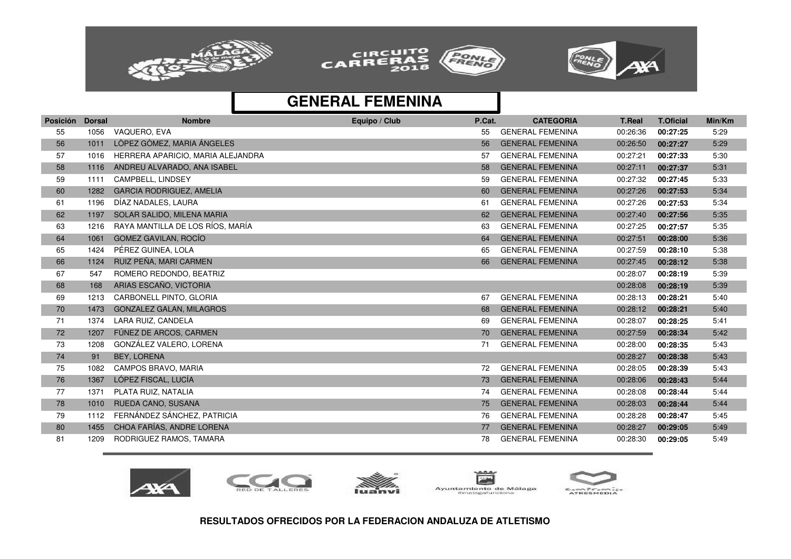

![](_page_9_Picture_1.jpeg)

![](_page_9_Picture_2.jpeg)

| Posición | <b>Dorsal</b> | <b>Nombre</b>                     | Equipo / Club | P.Cat. | <b>CATEGORIA</b>        | <b>T.Real</b> | <b>T.Oficial</b> | Min/Km |
|----------|---------------|-----------------------------------|---------------|--------|-------------------------|---------------|------------------|--------|
| 55       | 1056          | VAQUERO, EVA                      |               | 55     | <b>GENERAL FEMENINA</b> | 00:26:36      | 00:27:25         | 5:29   |
| 56       | 1011          | LÒPEZ GÒMEZ, MARIA ÁNGELES        |               | 56     | <b>GENERAL FEMENINA</b> | 00:26:50      | 00:27:27         | 5:29   |
| 57       | 1016          | HERRERA APARICIO, MARIA ALEJANDRA |               | 57     | <b>GENERAL FEMENINA</b> | 00:27:21      | 00:27:33         | 5:30   |
| 58       | 1116          | ANDREU ALVARADO, ANA ISABEL       |               | 58     | <b>GENERAL FEMENINA</b> | 00:27:11      | 00:27:37         | 5:31   |
| 59       | 1111          | CAMPBELL, LINDSEY                 |               | 59     | <b>GENERAL FEMENINA</b> | 00:27:32      | 00:27:45         | 5:33   |
| 60       | 1282          | <b>GARCIA RODRIGUEZ, AMELIA</b>   |               | 60     | <b>GENERAL FEMENINA</b> | 00:27:26      | 00:27:53         | 5:34   |
| 61       | 1196          | DÍAZ NADALES, LAURA               |               | 61     | <b>GENERAL FEMENINA</b> | 00:27:26      | 00:27:53         | 5:34   |
| 62       | 1197          | SOLAR SALIDO, MILENA MARIA        |               | 62     | <b>GENERAL FEMENINA</b> | 00:27:40      | 00:27:56         | 5:35   |
| 63       | 1216          | RAYA MANTILLA DE LOS RÍOS, MARÍA  |               | 63     | <b>GENERAL FEMENINA</b> | 00:27:25      | 00:27:57         | 5:35   |
| 64       | 1061          | GOMEZ GAVILAN, ROCÍO              |               | 64     | <b>GENERAL FEMENINA</b> | 00:27:51      | 00:28:00         | 5:36   |
| 65       | 1424          | PÉREZ GUINEA, LOLA                |               | 65     | <b>GENERAL FEMENINA</b> | 00:27:59      | 00:28:10         | 5:38   |
| 66       | 1124          | RUIZ PEÑA, MARI CARMEN            |               | 66     | <b>GENERAL FEMENINA</b> | 00:27:45      | 00:28:12         | 5:38   |
| 67       | 547           | ROMERO REDONDO, BEATRIZ           |               |        |                         | 00:28:07      | 00:28:19         | 5:39   |
| 68       | 168           | ARIAS ESCAÑO, VICTORIA            |               |        |                         | 00:28:08      | 00:28:19         | 5:39   |
| 69       | 1213          | CARBONELL PINTO, GLORIA           |               | 67     | <b>GENERAL FEMENINA</b> | 00:28:13      | 00:28:21         | 5:40   |
| 70       | 1473          | <b>GONZALEZ GALAN, MILAGROS</b>   |               | 68     | <b>GENERAL FEMENINA</b> | 00:28:12      | 00:28:21         | 5:40   |
| 71       | 1374          | LARA RUIZ, CANDELA                |               | 69     | <b>GENERAL FEMENINA</b> | 00:28:07      | 00:28:25         | 5:41   |
| 72       | 1207          | FÚNEZ DE ARCOS, CARMEN            |               | 70     | <b>GENERAL FEMENINA</b> | 00:27:59      | 00:28:34         | 5:42   |
| 73       | 1208          | GONZÁLEZ VALERO, LORENA           |               | 71     | <b>GENERAL FEMENINA</b> | 00:28:00      | 00:28:35         | 5:43   |
| 74       | 91            | <b>BEY, LORENA</b>                |               |        |                         | 00:28:27      | 00:28:38         | 5:43   |
| 75       | 1082          | CAMPOS BRAVO, MARIA               |               | 72     | <b>GENERAL FEMENINA</b> | 00:28:05      | 00:28:39         | 5:43   |
| 76       | 1367          | LÓPEZ FISCAL, LUCÍA               |               | 73     | <b>GENERAL FEMENINA</b> | 00:28:06      | 00:28:43         | 5:44   |
| 77       | 1371          | PLATA RUIZ, NATALIA               |               | 74     | <b>GENERAL FEMENINA</b> | 00:28:08      | 00:28:44         | 5:44   |
| 78       | 1010          | RUEDA CANO, SUSANA                |               | 75     | <b>GENERAL FEMENINA</b> | 00:28:03      | 00:28:44         | 5:44   |
| 79       | 1112          | FERNÁNDEZ SÁNCHEZ, PATRICIA       |               | 76     | <b>GENERAL FEMENINA</b> | 00:28:28      | 00:28:47         | 5:45   |
| 80       | 1455          | CHOA FARÍAS, ANDRE LORENA         |               | 77     | <b>GENERAL FEMENINA</b> | 00:28:27      | 00:29:05         | 5:49   |
| 81       | 1209          | RODRIGUEZ RAMOS, TAMARA           |               | 78     | <b>GENERAL FEMENINA</b> | 00:28:30      | 00:29:05         | 5:49   |

![](_page_9_Picture_5.jpeg)

![](_page_9_Picture_6.jpeg)

![](_page_9_Picture_7.jpeg)

![](_page_9_Picture_8.jpeg)

![](_page_9_Picture_9.jpeg)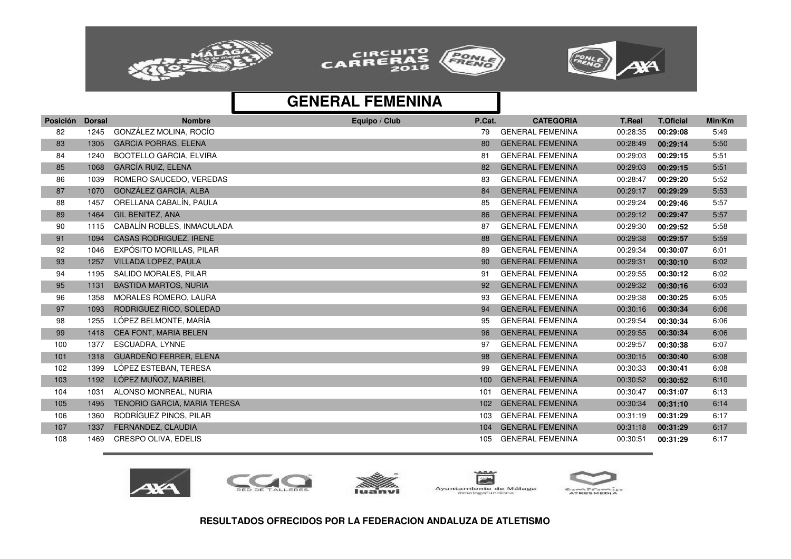![](_page_10_Picture_0.jpeg)

![](_page_10_Picture_1.jpeg)

![](_page_10_Picture_2.jpeg)

| <b>Posición</b> | <b>Dorsal</b> | <b>Nombre</b>                  | Equipo / Club | P.Cat.           | <b>CATEGORIA</b>        | <b>T.Real</b> | <b>T.Oficial</b> | Min/Km |
|-----------------|---------------|--------------------------------|---------------|------------------|-------------------------|---------------|------------------|--------|
| 82              | 1245          | GONZÁLEZ MOLINA, ROCÍO         |               | 79               | <b>GENERAL FEMENINA</b> | 00:28:35      | 00:29:08         | 5:49   |
| 83              | 1305          | <b>GARCIA PORRAS, ELENA</b>    |               | 80               | <b>GENERAL FEMENINA</b> | 00:28:49      | 00:29:14         | 5:50   |
| 84              | 1240          | <b>BOOTELLO GARCIA, ELVIRA</b> |               | 81               | <b>GENERAL FEMENINA</b> | 00:29:03      | 00:29:15         | 5:51   |
| 85              | 1068          | GARCÍA RUIZ, ELENA             |               | 82               | <b>GENERAL FEMENINA</b> | 00:29:03      | 00:29:15         | 5:51   |
| 86              | 1039          | ROMERO SAUCEDO, VEREDAS        |               | 83               | <b>GENERAL FEMENINA</b> | 00:28:47      | 00:29:20         | 5:52   |
| 87              | 1070          | GONZÁLEZ GARCÍA, ALBA          |               | 84               | <b>GENERAL FEMENINA</b> | 00:29:17      | 00:29:29         | 5:53   |
| 88              | 1457          | ORELLANA CABALÍN, PAULA        |               | 85               | <b>GENERAL FEMENINA</b> | 00:29:24      | 00:29:46         | 5:57   |
| 89              | 1464          | GIL BENITEZ, ANA               |               | 86               | <b>GENERAL FEMENINA</b> | 00:29:12      | 00:29:47         | 5:57   |
| 90              | 1115          | CABALÍN ROBLES, INMACULADA     |               | 87               | <b>GENERAL FEMENINA</b> | 00:29:30      | 00:29:52         | 5:58   |
| 91              | 1094          | <b>CASAS RODRIGUEZ, IRENE</b>  |               | 88               | <b>GENERAL FEMENINA</b> | 00:29:38      | 00:29:57         | 5:59   |
| 92              | 1046          | EXPÓSITO MORILLAS, PILAR       |               | 89               | <b>GENERAL FEMENINA</b> | 00:29:34      | 00:30:07         | 6:01   |
| 93              | 1257          | <b>VILLADA LOPEZ, PAULA</b>    |               | 90               | <b>GENERAL FEMENINA</b> | 00:29:31      | 00:30:10         | 6:02   |
| 94              | 1195          | SALIDO MORALES, PILAR          |               | 91               | <b>GENERAL FEMENINA</b> | 00:29:55      | 00:30:12         | 6:02   |
| 95              | 1131          | <b>BASTIDA MARTOS, NURIA</b>   |               | 92               | <b>GENERAL FEMENINA</b> | 00:29:32      | 00:30:16         | 6:03   |
| 96              | 1358          | <b>MORALES ROMERO, LAURA</b>   |               | 93               | <b>GENERAL FEMENINA</b> | 00:29:38      | 00:30:25         | 6:05   |
| 97              | 1093          | RODRIGUEZ RICO, SOLEDAD        |               | 94               | <b>GENERAL FEMENINA</b> | 00:30:16      | 00:30:34         | 6:06   |
| 98              | 1255          | LÓPEZ BELMONTE, MARÍA          |               | 95               | <b>GENERAL FEMENINA</b> | 00:29:54      | 00:30:34         | 6:06   |
| 99              | 1418          | <b>CEA FONT, MARIA BELEN</b>   |               | 96               | <b>GENERAL FEMENINA</b> | 00:29:55      | 00:30:34         | 6:06   |
| 100             | 1377          | ESCUADRA, LYNNE                |               | 97               | <b>GENERAL FEMENINA</b> | 00:29:57      | 00:30:38         | 6:07   |
| 101             | 1318          | <b>GUARDEÑO FERRER, ELENA</b>  |               | 98               | <b>GENERAL FEMENINA</b> | 00:30:15      | 00:30:40         | 6:08   |
| 102             | 1399          | LÓPEZ ESTEBAN, TERESA          |               | 99               | <b>GENERAL FEMENINA</b> | 00:30:33      | 00:30:41         | 6:08   |
| 103             | 1192          | LÓPEZ MUÑOZ, MARIBEL           |               | 100              | <b>GENERAL FEMENINA</b> | 00:30:52      | 00:30:52         | 6:10   |
| 104             | 1031          | ALONSO MONREAL, NURIA          |               | 101              | <b>GENERAL FEMENINA</b> | 00:30:47      | 00:31:07         | 6:13   |
| 105             | 1495          | TENORIO GARCIA, MARIA TERESA   |               | 102 <sub>1</sub> | <b>GENERAL FEMENINA</b> | 00:30:34      | 00:31:10         | 6:14   |
| 106             | 1360          | RODRÍGUEZ PINOS, PILAR         |               | 103              | <b>GENERAL FEMENINA</b> | 00:31:19      | 00:31:29         | 6:17   |
| 107             | 1337          | FERNANDEZ, CLAUDIA             |               | 104              | <b>GENERAL FEMENINA</b> | 00:31:18      | 00:31:29         | 6:17   |
| 108             | 1469          | CRESPO OLIVA, EDELIS           |               | 105              | <b>GENERAL FEMENINA</b> | 00:30:51      | 00:31:29         | 6:17   |

![](_page_10_Picture_5.jpeg)

![](_page_10_Picture_6.jpeg)

![](_page_10_Picture_7.jpeg)

![](_page_10_Picture_8.jpeg)

![](_page_10_Picture_9.jpeg)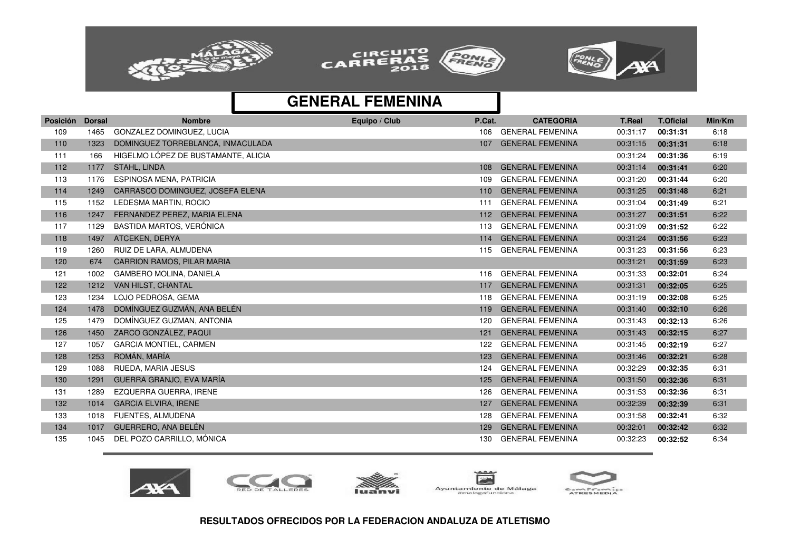![](_page_11_Picture_0.jpeg)

![](_page_11_Picture_1.jpeg)

![](_page_11_Picture_2.jpeg)

| GONZALEZ DOMINGUEZ, LUCIA<br><b>GENERAL FEMENINA</b><br>109<br>1465<br>00:31:17<br>6:18<br>106<br>00:31:31<br><b>GENERAL FEMENINA</b><br>DOMINGUEZ TORREBLANCA, INMACULADA<br>00:31:15<br>110<br>1323<br>00:31:31<br>6:18<br>107<br>HIGELMO LÓPEZ DE BUSTAMANTE, ALICIA<br>00:31:24<br>6:19<br>111<br>166<br>00:31:36<br>112<br><b>STAHL, LINDA</b><br><b>GENERAL FEMENINA</b><br>00:31:14<br>6:20<br>1177<br>00:31:41<br>108<br>1176<br>ESPINOSA MENA, PATRICIA<br><b>GENERAL FEMENINA</b><br>00:31:20<br>113<br>109<br>00:31:44<br>6:20<br><b>GENERAL FEMENINA</b><br>114<br>CARRASCO DOMINGUEZ, JOSEFA ELENA<br>00:31:25<br>6:21<br>1249<br>110<br>00:31:48<br><b>GENERAL FEMENINA</b><br>115<br>1152<br>LEDESMA MARTIN, ROCIO<br>00:31:04<br>6:21<br>111<br>00:31:49<br>FERNANDEZ PEREZ, MARIA ELENA<br><b>GENERAL FEMENINA</b><br>116<br>00:31:27<br>6:22<br>1247<br>112<br>00:31:51<br><b>BASTIDA MARTOS, VERÓNICA</b><br><b>GENERAL FEMENINA</b><br>117<br>1129<br>00:31:09<br>00:31:52<br>6:22<br>113<br>118<br>ATCEKEN, DERYA<br><b>GENERAL FEMENINA</b><br>6:23<br>1497<br>00:31:24<br>114<br>00:31:56<br>RUIZ DE LARA, ALMUDENA<br><b>GENERAL FEMENINA</b><br>00:31:23<br>119<br>1260<br>115<br>00:31:56<br>6:23<br><b>CARRION RAMOS, PILAR MARIA</b><br>00:31:21<br>6:23<br>120<br>674<br>00:31:59<br><b>GAMBERO MOLINA, DANIELA</b><br><b>GENERAL FEMENINA</b><br>00:31:33<br>00:32:01<br>6:24<br>121<br>1002<br>116<br><b>GENERAL FEMENINA</b><br>122<br>1212<br>VAN HILST, CHANTAL<br>00:31:31<br>6:25<br>117<br>00:32:05<br>LOJO PEDROSA, GEMA<br><b>GENERAL FEMENINA</b><br>123<br>1234<br>00:31:19<br>6:25<br>118<br>00:32:08<br>DOMÍNGUEZ GUZMÁN, ANA BELÉN<br><b>GENERAL FEMENINA</b><br>124<br>1478<br>00:31:40<br>6:26<br>119<br>00:32:10<br>DOMÍNGUEZ GUZMAN, ANTONIA<br><b>GENERAL FEMENINA</b><br>125<br>1479<br>00:31:43<br>6:26<br>120<br>00:32:13<br>ZARCO GONZÁLEZ, PAQUI<br><b>GENERAL FEMENINA</b><br>6:27<br>126<br>1450<br>00:31:43<br>00:32:15<br>121<br>127<br><b>GARCIA MONTIEL, CARMEN</b><br><b>GENERAL FEMENINA</b><br>1057<br>00:31:45<br>6:27<br>122<br>00:32:19<br>ROMÁN, MARÍA<br><b>GENERAL FEMENINA</b><br>128<br>1253<br>00:31:46<br>00:32:21<br>6:28<br>123<br><b>GENERAL FEMENINA</b><br>129<br>RUEDA, MARIA JESUS<br>00:32:29<br>1088<br>6:31<br>124<br>00:32:35<br>GUERRA GRANJO, EVA MARÍA<br><b>GENERAL FEMENINA</b><br>130<br>00:31:50<br>6:31<br>1291<br>125<br>00:32:36<br>1289<br>EZQUERRA GUERRA, IRENE<br><b>GENERAL FEMENINA</b><br>00:31:53<br>6:31<br>131<br>126<br>00:32:36 | <b>Posición</b> | <b>Dorsal</b> | <b>Nombre</b>               | Equipo / Club | P.Cat. | <b>CATEGORIA</b>        | <b>T.Real</b> | <b>T.Oficial</b> | Min/Km |
|-------------------------------------------------------------------------------------------------------------------------------------------------------------------------------------------------------------------------------------------------------------------------------------------------------------------------------------------------------------------------------------------------------------------------------------------------------------------------------------------------------------------------------------------------------------------------------------------------------------------------------------------------------------------------------------------------------------------------------------------------------------------------------------------------------------------------------------------------------------------------------------------------------------------------------------------------------------------------------------------------------------------------------------------------------------------------------------------------------------------------------------------------------------------------------------------------------------------------------------------------------------------------------------------------------------------------------------------------------------------------------------------------------------------------------------------------------------------------------------------------------------------------------------------------------------------------------------------------------------------------------------------------------------------------------------------------------------------------------------------------------------------------------------------------------------------------------------------------------------------------------------------------------------------------------------------------------------------------------------------------------------------------------------------------------------------------------------------------------------------------------------------------------------------------------------------------------------------------------------------------------------------------------------------------------------------------------------------------------------------------------------------------------------------------------------------------------------------------------------------------------------------------------------------|-----------------|---------------|-----------------------------|---------------|--------|-------------------------|---------------|------------------|--------|
|                                                                                                                                                                                                                                                                                                                                                                                                                                                                                                                                                                                                                                                                                                                                                                                                                                                                                                                                                                                                                                                                                                                                                                                                                                                                                                                                                                                                                                                                                                                                                                                                                                                                                                                                                                                                                                                                                                                                                                                                                                                                                                                                                                                                                                                                                                                                                                                                                                                                                                                                           |                 |               |                             |               |        |                         |               |                  |        |
|                                                                                                                                                                                                                                                                                                                                                                                                                                                                                                                                                                                                                                                                                                                                                                                                                                                                                                                                                                                                                                                                                                                                                                                                                                                                                                                                                                                                                                                                                                                                                                                                                                                                                                                                                                                                                                                                                                                                                                                                                                                                                                                                                                                                                                                                                                                                                                                                                                                                                                                                           |                 |               |                             |               |        |                         |               |                  |        |
|                                                                                                                                                                                                                                                                                                                                                                                                                                                                                                                                                                                                                                                                                                                                                                                                                                                                                                                                                                                                                                                                                                                                                                                                                                                                                                                                                                                                                                                                                                                                                                                                                                                                                                                                                                                                                                                                                                                                                                                                                                                                                                                                                                                                                                                                                                                                                                                                                                                                                                                                           |                 |               |                             |               |        |                         |               |                  |        |
|                                                                                                                                                                                                                                                                                                                                                                                                                                                                                                                                                                                                                                                                                                                                                                                                                                                                                                                                                                                                                                                                                                                                                                                                                                                                                                                                                                                                                                                                                                                                                                                                                                                                                                                                                                                                                                                                                                                                                                                                                                                                                                                                                                                                                                                                                                                                                                                                                                                                                                                                           |                 |               |                             |               |        |                         |               |                  |        |
|                                                                                                                                                                                                                                                                                                                                                                                                                                                                                                                                                                                                                                                                                                                                                                                                                                                                                                                                                                                                                                                                                                                                                                                                                                                                                                                                                                                                                                                                                                                                                                                                                                                                                                                                                                                                                                                                                                                                                                                                                                                                                                                                                                                                                                                                                                                                                                                                                                                                                                                                           |                 |               |                             |               |        |                         |               |                  |        |
|                                                                                                                                                                                                                                                                                                                                                                                                                                                                                                                                                                                                                                                                                                                                                                                                                                                                                                                                                                                                                                                                                                                                                                                                                                                                                                                                                                                                                                                                                                                                                                                                                                                                                                                                                                                                                                                                                                                                                                                                                                                                                                                                                                                                                                                                                                                                                                                                                                                                                                                                           |                 |               |                             |               |        |                         |               |                  |        |
|                                                                                                                                                                                                                                                                                                                                                                                                                                                                                                                                                                                                                                                                                                                                                                                                                                                                                                                                                                                                                                                                                                                                                                                                                                                                                                                                                                                                                                                                                                                                                                                                                                                                                                                                                                                                                                                                                                                                                                                                                                                                                                                                                                                                                                                                                                                                                                                                                                                                                                                                           |                 |               |                             |               |        |                         |               |                  |        |
|                                                                                                                                                                                                                                                                                                                                                                                                                                                                                                                                                                                                                                                                                                                                                                                                                                                                                                                                                                                                                                                                                                                                                                                                                                                                                                                                                                                                                                                                                                                                                                                                                                                                                                                                                                                                                                                                                                                                                                                                                                                                                                                                                                                                                                                                                                                                                                                                                                                                                                                                           |                 |               |                             |               |        |                         |               |                  |        |
|                                                                                                                                                                                                                                                                                                                                                                                                                                                                                                                                                                                                                                                                                                                                                                                                                                                                                                                                                                                                                                                                                                                                                                                                                                                                                                                                                                                                                                                                                                                                                                                                                                                                                                                                                                                                                                                                                                                                                                                                                                                                                                                                                                                                                                                                                                                                                                                                                                                                                                                                           |                 |               |                             |               |        |                         |               |                  |        |
|                                                                                                                                                                                                                                                                                                                                                                                                                                                                                                                                                                                                                                                                                                                                                                                                                                                                                                                                                                                                                                                                                                                                                                                                                                                                                                                                                                                                                                                                                                                                                                                                                                                                                                                                                                                                                                                                                                                                                                                                                                                                                                                                                                                                                                                                                                                                                                                                                                                                                                                                           |                 |               |                             |               |        |                         |               |                  |        |
|                                                                                                                                                                                                                                                                                                                                                                                                                                                                                                                                                                                                                                                                                                                                                                                                                                                                                                                                                                                                                                                                                                                                                                                                                                                                                                                                                                                                                                                                                                                                                                                                                                                                                                                                                                                                                                                                                                                                                                                                                                                                                                                                                                                                                                                                                                                                                                                                                                                                                                                                           |                 |               |                             |               |        |                         |               |                  |        |
|                                                                                                                                                                                                                                                                                                                                                                                                                                                                                                                                                                                                                                                                                                                                                                                                                                                                                                                                                                                                                                                                                                                                                                                                                                                                                                                                                                                                                                                                                                                                                                                                                                                                                                                                                                                                                                                                                                                                                                                                                                                                                                                                                                                                                                                                                                                                                                                                                                                                                                                                           |                 |               |                             |               |        |                         |               |                  |        |
|                                                                                                                                                                                                                                                                                                                                                                                                                                                                                                                                                                                                                                                                                                                                                                                                                                                                                                                                                                                                                                                                                                                                                                                                                                                                                                                                                                                                                                                                                                                                                                                                                                                                                                                                                                                                                                                                                                                                                                                                                                                                                                                                                                                                                                                                                                                                                                                                                                                                                                                                           |                 |               |                             |               |        |                         |               |                  |        |
|                                                                                                                                                                                                                                                                                                                                                                                                                                                                                                                                                                                                                                                                                                                                                                                                                                                                                                                                                                                                                                                                                                                                                                                                                                                                                                                                                                                                                                                                                                                                                                                                                                                                                                                                                                                                                                                                                                                                                                                                                                                                                                                                                                                                                                                                                                                                                                                                                                                                                                                                           |                 |               |                             |               |        |                         |               |                  |        |
|                                                                                                                                                                                                                                                                                                                                                                                                                                                                                                                                                                                                                                                                                                                                                                                                                                                                                                                                                                                                                                                                                                                                                                                                                                                                                                                                                                                                                                                                                                                                                                                                                                                                                                                                                                                                                                                                                                                                                                                                                                                                                                                                                                                                                                                                                                                                                                                                                                                                                                                                           |                 |               |                             |               |        |                         |               |                  |        |
|                                                                                                                                                                                                                                                                                                                                                                                                                                                                                                                                                                                                                                                                                                                                                                                                                                                                                                                                                                                                                                                                                                                                                                                                                                                                                                                                                                                                                                                                                                                                                                                                                                                                                                                                                                                                                                                                                                                                                                                                                                                                                                                                                                                                                                                                                                                                                                                                                                                                                                                                           |                 |               |                             |               |        |                         |               |                  |        |
|                                                                                                                                                                                                                                                                                                                                                                                                                                                                                                                                                                                                                                                                                                                                                                                                                                                                                                                                                                                                                                                                                                                                                                                                                                                                                                                                                                                                                                                                                                                                                                                                                                                                                                                                                                                                                                                                                                                                                                                                                                                                                                                                                                                                                                                                                                                                                                                                                                                                                                                                           |                 |               |                             |               |        |                         |               |                  |        |
|                                                                                                                                                                                                                                                                                                                                                                                                                                                                                                                                                                                                                                                                                                                                                                                                                                                                                                                                                                                                                                                                                                                                                                                                                                                                                                                                                                                                                                                                                                                                                                                                                                                                                                                                                                                                                                                                                                                                                                                                                                                                                                                                                                                                                                                                                                                                                                                                                                                                                                                                           |                 |               |                             |               |        |                         |               |                  |        |
|                                                                                                                                                                                                                                                                                                                                                                                                                                                                                                                                                                                                                                                                                                                                                                                                                                                                                                                                                                                                                                                                                                                                                                                                                                                                                                                                                                                                                                                                                                                                                                                                                                                                                                                                                                                                                                                                                                                                                                                                                                                                                                                                                                                                                                                                                                                                                                                                                                                                                                                                           |                 |               |                             |               |        |                         |               |                  |        |
|                                                                                                                                                                                                                                                                                                                                                                                                                                                                                                                                                                                                                                                                                                                                                                                                                                                                                                                                                                                                                                                                                                                                                                                                                                                                                                                                                                                                                                                                                                                                                                                                                                                                                                                                                                                                                                                                                                                                                                                                                                                                                                                                                                                                                                                                                                                                                                                                                                                                                                                                           |                 |               |                             |               |        |                         |               |                  |        |
|                                                                                                                                                                                                                                                                                                                                                                                                                                                                                                                                                                                                                                                                                                                                                                                                                                                                                                                                                                                                                                                                                                                                                                                                                                                                                                                                                                                                                                                                                                                                                                                                                                                                                                                                                                                                                                                                                                                                                                                                                                                                                                                                                                                                                                                                                                                                                                                                                                                                                                                                           |                 |               |                             |               |        |                         |               |                  |        |
|                                                                                                                                                                                                                                                                                                                                                                                                                                                                                                                                                                                                                                                                                                                                                                                                                                                                                                                                                                                                                                                                                                                                                                                                                                                                                                                                                                                                                                                                                                                                                                                                                                                                                                                                                                                                                                                                                                                                                                                                                                                                                                                                                                                                                                                                                                                                                                                                                                                                                                                                           |                 |               |                             |               |        |                         |               |                  |        |
|                                                                                                                                                                                                                                                                                                                                                                                                                                                                                                                                                                                                                                                                                                                                                                                                                                                                                                                                                                                                                                                                                                                                                                                                                                                                                                                                                                                                                                                                                                                                                                                                                                                                                                                                                                                                                                                                                                                                                                                                                                                                                                                                                                                                                                                                                                                                                                                                                                                                                                                                           |                 |               |                             |               |        |                         |               |                  |        |
|                                                                                                                                                                                                                                                                                                                                                                                                                                                                                                                                                                                                                                                                                                                                                                                                                                                                                                                                                                                                                                                                                                                                                                                                                                                                                                                                                                                                                                                                                                                                                                                                                                                                                                                                                                                                                                                                                                                                                                                                                                                                                                                                                                                                                                                                                                                                                                                                                                                                                                                                           | 132             | 1014          | <b>GARCIA ELVIRA, IRENE</b> |               | 127    | <b>GENERAL FEMENINA</b> | 00:32:39      | 00:32:39         | 6:31   |
| <b>GENERAL FEMENINA</b><br>133<br>1018<br>FUENTES, ALMUDENA<br>00:31:58<br>6:32<br>128<br>00:32:41                                                                                                                                                                                                                                                                                                                                                                                                                                                                                                                                                                                                                                                                                                                                                                                                                                                                                                                                                                                                                                                                                                                                                                                                                                                                                                                                                                                                                                                                                                                                                                                                                                                                                                                                                                                                                                                                                                                                                                                                                                                                                                                                                                                                                                                                                                                                                                                                                                        |                 |               |                             |               |        |                         |               |                  |        |
| GUERRERO, ANA BELÉN<br><b>GENERAL FEMENINA</b><br>6:32<br>134<br>1017<br>00:32:01<br>00:32:42<br>129                                                                                                                                                                                                                                                                                                                                                                                                                                                                                                                                                                                                                                                                                                                                                                                                                                                                                                                                                                                                                                                                                                                                                                                                                                                                                                                                                                                                                                                                                                                                                                                                                                                                                                                                                                                                                                                                                                                                                                                                                                                                                                                                                                                                                                                                                                                                                                                                                                      |                 |               |                             |               |        |                         |               |                  |        |
| DEL POZO CARRILLO, MÓNICA<br><b>GENERAL FEMENINA</b><br>135<br>1045<br>00:32:23<br>6:34<br>130<br>00:32:52                                                                                                                                                                                                                                                                                                                                                                                                                                                                                                                                                                                                                                                                                                                                                                                                                                                                                                                                                                                                                                                                                                                                                                                                                                                                                                                                                                                                                                                                                                                                                                                                                                                                                                                                                                                                                                                                                                                                                                                                                                                                                                                                                                                                                                                                                                                                                                                                                                |                 |               |                             |               |        |                         |               |                  |        |

![](_page_11_Picture_5.jpeg)

![](_page_11_Picture_6.jpeg)

![](_page_11_Picture_7.jpeg)

![](_page_11_Picture_8.jpeg)

![](_page_11_Picture_9.jpeg)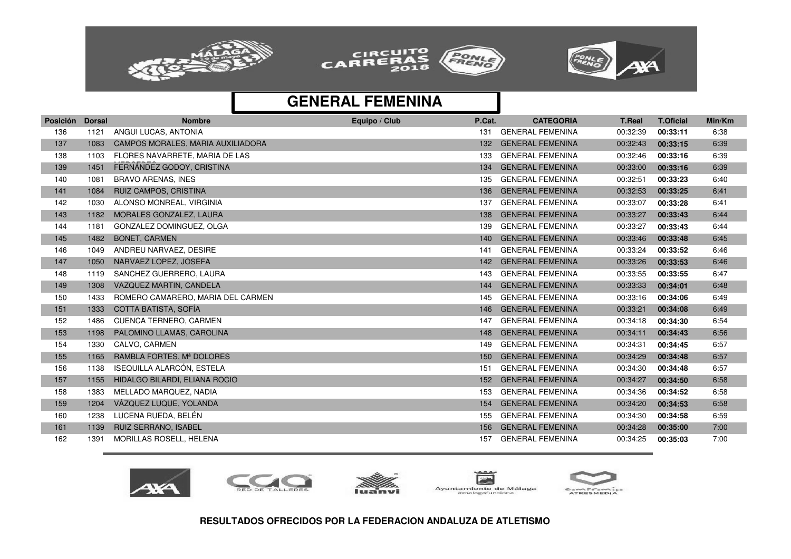![](_page_12_Picture_0.jpeg)

![](_page_12_Picture_1.jpeg)

![](_page_12_Picture_2.jpeg)

| <b>Posición</b> | <b>Dorsal</b> | <b>Nombre</b>                     | Equipo / Club | P.Cat.           | <b>CATEGORIA</b>        | <b>T.Real</b> | <b>T.Oficial</b> | Min/Km |
|-----------------|---------------|-----------------------------------|---------------|------------------|-------------------------|---------------|------------------|--------|
| 136             | 1121          | ANGUI LUCAS, ANTONIA              |               | 131              | <b>GENERAL FEMENINA</b> | 00:32:39      | 00:33:11         | 6:38   |
| 137             | 1083          | CAMPOS MORALES, MARIA AUXILIADORA |               | 132              | <b>GENERAL FEMENINA</b> | 00:32:43      | 00:33:15         | 6:39   |
| 138             | 1103          | FLORES NAVARRETE, MARIA DE LAS    |               | 133              | <b>GENERAL FEMENINA</b> | 00:32:46      | 00:33:16         | 6:39   |
| 139             | 1451          | FERNÁNDEZ GODOY, CRISTINA         |               | 134              | <b>GENERAL FEMENINA</b> | 00:33:00      | 00:33:16         | 6:39   |
| 140             | 1081          | <b>BRAVO ARENAS, INES</b>         |               | 135              | <b>GENERAL FEMENINA</b> | 00:32:51      | 00:33:23         | 6:40   |
| 141             | 1084          | <b>RUIZ CAMPOS, CRISTINA</b>      |               | 136              | <b>GENERAL FEMENINA</b> | 00:32:53      | 00:33:25         | 6:41   |
| 142             | 1030          | ALONSO MONREAL, VIRGINIA          |               | 137              | <b>GENERAL FEMENINA</b> | 00:33:07      | 00:33:28         | 6:41   |
| 143             | 1182          | MORALES GONZALEZ, LAURA           |               | 138              | <b>GENERAL FEMENINA</b> | 00:33:27      | 00:33:43         | 6:44   |
| 144             | 1181          | GONZALEZ DOMINGUEZ, OLGA          |               | 139              | <b>GENERAL FEMENINA</b> | 00:33:27      | 00:33:43         | 6:44   |
| 145             | 1482          | <b>BONET, CARMEN</b>              |               | 140              | <b>GENERAL FEMENINA</b> | 00:33:46      | 00:33:48         | 6:45   |
| 146             | 1049          | ANDREU NARVAEZ, DESIRE            |               | 141              | <b>GENERAL FEMENINA</b> | 00:33:24      | 00:33:52         | 6:46   |
| 147             | 1050          | NARVAEZ LOPEZ, JOSEFA             |               | 142              | <b>GENERAL FEMENINA</b> | 00:33:26      | 00:33:53         | 6:46   |
| 148             | 1119          | SANCHEZ GUERRERO, LAURA           |               | 143              | <b>GENERAL FEMENINA</b> | 00:33:55      | 00:33:55         | 6:47   |
| 149             | 1308          | VAZQUEZ MARTIN, CANDELA           |               | 144              | <b>GENERAL FEMENINA</b> | 00:33:33      | 00:34:01         | 6:48   |
| 150             | 1433          | ROMERO CAMARERO, MARIA DEL CARMEN |               | 145              | <b>GENERAL FEMENINA</b> | 00:33:16      | 00:34:06         | 6:49   |
| 151             | 1333          | COTTA BATISTA, SOFÍA              |               | 146              | <b>GENERAL FEMENINA</b> | 00:33:21      | 00:34:08         | 6:49   |
| 152             | 1486          | <b>CUENCA TERNERO, CARMEN</b>     |               | 147              | <b>GENERAL FEMENINA</b> | 00:34:18      | 00:34:30         | 6:54   |
| 153             | 1198          | PALOMINO LLAMAS, CAROLINA         |               | 148              | <b>GENERAL FEMENINA</b> | 00:34:11      | 00:34:43         | 6:56   |
| 154             | 1330          | CALVO, CARMEN                     |               | 149              | <b>GENERAL FEMENINA</b> | 00:34:31      | 00:34:45         | 6:57   |
| 155             | 1165          | RAMBLA FORTES, Mª DOLORES         |               | 150 <sub>1</sub> | <b>GENERAL FEMENINA</b> | 00:34:29      | 00:34:48         | 6:57   |
| 156             | 1138          | ISEQUILLA ALARCÓN, ESTELA         |               | 151              | <b>GENERAL FEMENINA</b> | 00:34:30      | 00:34:48         | 6:57   |
| 157             | 1155          | HIDALGO BILARDI, ELIANA ROCIO     |               | 152              | <b>GENERAL FEMENINA</b> | 00:34:27      | 00:34:50         | 6:58   |
| 158             | 1383          | MELLADO MARQUEZ, NADIA            |               | 153              | <b>GENERAL FEMENINA</b> | 00:34:36      | 00:34:52         | 6:58   |
| 159             | 1204          | VÁZQUEZ LUQUE, YOLANDA            |               | 154              | <b>GENERAL FEMENINA</b> | 00:34:20      | 00:34:53         | 6:58   |
| 160             | 1238          | LUCENA RUEDA, BELÉN               |               | 155              | <b>GENERAL FEMENINA</b> | 00:34:30      | 00:34:58         | 6:59   |
| 161             | 1139          | <b>RUIZ SERRANO, ISABEL</b>       |               | 156              | <b>GENERAL FEMENINA</b> | 00:34:28      | 00:35:00         | 7:00   |
| 162             | 1391          | MORILLAS ROSELL, HELENA           |               | 157              | <b>GENERAL FEMENINA</b> | 00:34:25      | 00:35:03         | 7:00   |

![](_page_12_Picture_5.jpeg)

![](_page_12_Picture_6.jpeg)

![](_page_12_Picture_7.jpeg)

![](_page_12_Picture_8.jpeg)

![](_page_12_Picture_9.jpeg)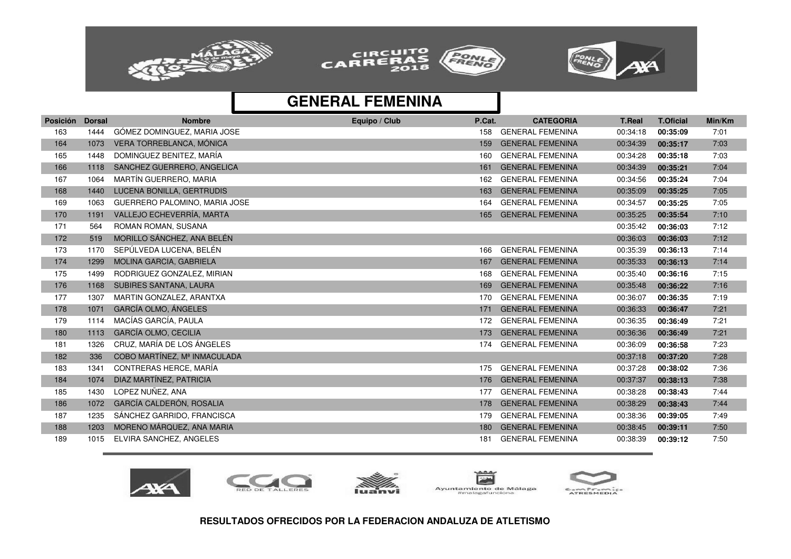![](_page_13_Picture_0.jpeg)

![](_page_13_Picture_1.jpeg)

![](_page_13_Picture_2.jpeg)

| Posición | <b>Dorsal</b> | <b>Nombre</b>                 | Equipo / Club | P.Cat. | <b>CATEGORIA</b>        | <b>T.Real</b> | <b>T.Oficial</b> | Min/Km |
|----------|---------------|-------------------------------|---------------|--------|-------------------------|---------------|------------------|--------|
| 163      | 1444          | GÓMEZ DOMINGUEZ, MARIA JOSE   |               | 158    | <b>GENERAL FEMENINA</b> | 00:34:18      | 00:35:09         | 7:01   |
| 164      | 1073          | VERA TORREBLANCA, MÓNICA      |               | 159    | <b>GENERAL FEMENINA</b> | 00:34:39      | 00:35:17         | 7:03   |
| 165      | 1448          | DOMINGUEZ BENITEZ, MARÍA      |               | 160    | <b>GENERAL FEMENINA</b> | 00:34:28      | 00:35:18         | 7:03   |
| 166      | 1118          | SANCHEZ GUERRERO, ANGELICA    |               | 161    | <b>GENERAL FEMENINA</b> | 00:34:39      | 00:35:21         | 7:04   |
| 167      | 1064          | MARTÍN GUERRERO, MARIA        |               | 162    | <b>GENERAL FEMENINA</b> | 00:34:56      | 00:35:24         | 7:04   |
| 168      | 1440          | LUCENA BONILLA, GERTRUDIS     |               | 163    | <b>GENERAL FEMENINA</b> | 00:35:09      | 00:35:25         | 7:05   |
| 169      | 1063          | GUERRERO PALOMINO, MARIA JOSE |               | 164    | <b>GENERAL FEMENINA</b> | 00:34:57      | 00:35:25         | 7:05   |
| 170      | 1191          | VALLEJO ECHEVERRÍA, MARTA     |               | 165    | <b>GENERAL FEMENINA</b> | 00:35:25      | 00:35:54         | 7:10   |
| 171      | 564           | <b>ROMAN ROMAN, SUSANA</b>    |               |        |                         | 00:35:42      | 00:36:03         | 7:12   |
| 172      | 519           | MORILLO SÁNCHEZ, ANA BELÉN    |               |        |                         | 00:36:03      | 00:36:03         | 7:12   |
| 173      | 1170          | SEPÚLVEDA LUCENA, BELÉN       |               | 166    | <b>GENERAL FEMENINA</b> | 00:35:39      | 00:36:13         | 7:14   |
| 174      | 1299          | MOLINA GARCIA, GABRIELA       |               | 167    | <b>GENERAL FEMENINA</b> | 00:35:33      | 00:36:13         | 7:14   |
| 175      | 1499          | RODRIGUEZ GONZALEZ, MIRIAN    |               | 168    | <b>GENERAL FEMENINA</b> | 00:35:40      | 00:36:16         | 7:15   |
| 176      | 1168          | SUBIRES SANTANA, LAURA        |               | 169    | <b>GENERAL FEMENINA</b> | 00:35:48      | 00:36:22         | 7:16   |
| 177      | 1307          | MARTIN GONZALEZ, ARANTXA      |               | 170    | <b>GENERAL FEMENINA</b> | 00:36:07      | 00:36:35         | 7:19   |
| 178      | 1071          | GARCÍA OLMO, ÁNGELES          |               | 171    | <b>GENERAL FEMENINA</b> | 00:36:33      | 00:36:47         | 7:21   |
| 179      | 1114          | MACÍAS GARCÍA, PAULA          |               | 172    | <b>GENERAL FEMENINA</b> | 00:36:35      | 00:36:49         | 7:21   |
| 180      | 1113          | <b>GARCÍA OLMO, CECILIA</b>   |               | 173    | <b>GENERAL FEMENINA</b> | 00:36:36      | 00:36:49         | 7:21   |
| 181      | 1326          | CRUZ, MARÍA DE LOS ÁNGELES    |               | 174    | <b>GENERAL FEMENINA</b> | 00:36:09      | 00:36:58         | 7:23   |
| 182      | 336           | COBO MARTÍNEZ, Mª INMACULADA  |               |        |                         | 00:37:18      | 00:37:20         | 7:28   |
| 183      | 1341          | CONTRERAS HERCE, MARÍA        |               | 175    | <b>GENERAL FEMENINA</b> | 00:37:28      | 00:38:02         | 7:36   |
| 184      | 1074          | DIAZ MARTÍNEZ, PATRICIA       |               | 176    | <b>GENERAL FEMENINA</b> | 00:37:37      | 00:38:13         | 7:38   |
| 185      | 1430          | LOPEZ NUÑEZ, ANA              |               | 177    | <b>GENERAL FEMENINA</b> | 00:38:28      | 00:38:43         | 7:44   |
| 186      | 1072          | GARCÍA CALDERÓN, ROSALIA      |               | 178    | <b>GENERAL FEMENINA</b> | 00:38:29      | 00:38:43         | 7:44   |
| 187      | 1235          | SÁNCHEZ GARRIDO, FRANCISCA    |               | 179    | <b>GENERAL FEMENINA</b> | 00:38:36      | 00:39:05         | 7:49   |
| 188      | 1203          | MORENO MÁRQUEZ, ANA MARIA     |               | 180    | <b>GENERAL FEMENINA</b> | 00:38:45      | 00:39:11         | 7:50   |
| 189      | 1015          | ELVIRA SANCHEZ, ANGELES       |               | 181    | <b>GENERAL FEMENINA</b> | 00:38:39      | 00:39:12         | 7:50   |

![](_page_13_Picture_5.jpeg)

![](_page_13_Picture_6.jpeg)

![](_page_13_Picture_7.jpeg)

![](_page_13_Picture_8.jpeg)

![](_page_13_Picture_9.jpeg)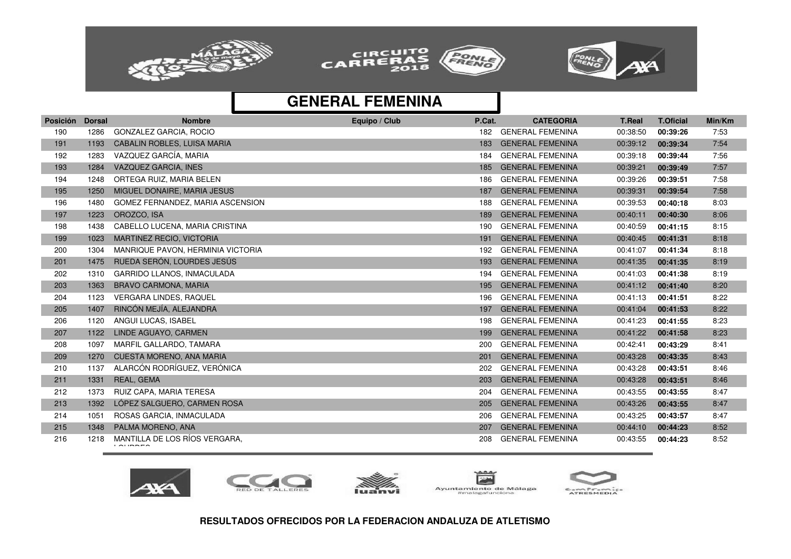![](_page_14_Picture_0.jpeg)

![](_page_14_Picture_1.jpeg)

![](_page_14_Picture_2.jpeg)

| GONZALEZ GARCIA, ROCIO<br><b>GENERAL FEMENINA</b><br>7:53<br>190<br>1286<br>00:38:50<br>182<br>00:39:26<br><b>CABALIN ROBLES, LUISA MARIA</b><br><b>GENERAL FEMENINA</b><br>7:54<br>191<br>1193<br>183<br>00:39:12<br>00:39:34<br>VAZQUEZ GARCÍA, MARIA<br><b>GENERAL FEMENINA</b><br>7:56<br>192<br>1283<br>00:39:18<br>184<br>00:39:44<br>VAZQUEZ GARCIA, INES<br><b>GENERAL FEMENINA</b><br>7:57<br>193<br>00:39:21<br>1284<br>185<br>00:39:49<br>ORTEGA RUIZ, MARIA BELEN<br><b>GENERAL FEMENINA</b><br>1248<br>00:39:26<br>7:58<br>194<br>186<br>00:39:51<br>MIGUEL DONAIRE, MARIA JESUS<br><b>GENERAL FEMENINA</b><br>00:39:31<br>7:58<br>195<br>1250<br>187<br>00:39:54<br>196<br>1480<br>GOMEZ FERNANDEZ, MARIA ASCENSION<br><b>GENERAL FEMENINA</b><br>00:39:53<br>8:03<br>00:40:18<br>188<br>OROZCO, ISA<br><b>GENERAL FEMENINA</b><br>8:06<br>197<br>1223<br>00:40:11<br>189<br>00:40:30<br>CABELLO LUCENA, MARIA CRISTINA<br><b>GENERAL FEMENINA</b><br>198<br>1438<br>00:40:59<br>00:41:15<br>8:15<br>190<br><b>MARTINEZ RECIO, VICTORIA</b><br><b>GENERAL FEMENINA</b><br>1023<br>8:18<br>199<br>191<br>00:40:45<br>00:41:31<br><b>GENERAL FEMENINA</b><br>200<br>MANRIQUE PAVON, HERMINIA VICTORIA<br>00:41:07<br>8:18<br>1304<br>192<br>00:41:34<br>RUEDA SERÓN, LOURDES JESÚS<br><b>GENERAL FEMENINA</b><br>201<br>1475<br>00:41:35<br>8:19<br>193<br>00:41:35<br><b>GARRIDO LLANOS, INMACULADA</b><br><b>GENERAL FEMENINA</b><br>202<br>1310<br>00:41:03<br>00:41:38<br>8:19<br>194<br><b>BRAVO CARMONA, MARIA</b><br><b>GENERAL FEMENINA</b><br>203<br>1363<br>00:41:12<br>8:20<br>195<br>00:41:40<br>204<br><b>VERGARA LINDES, RAQUEL</b><br><b>GENERAL FEMENINA</b><br>00:41:13<br>8:22<br>1123<br>00:41:51<br>196<br>RINCÓN MEJÍA, ALEJANDRA<br><b>GENERAL FEMENINA</b><br>8:22<br>205<br>1407<br>00:41:04<br>197<br>00:41:53<br><b>GENERAL FEMENINA</b><br>206<br>1120<br>ANGUI LUCAS, ISABEL<br>00:41:23<br>8:23<br>198<br>00:41:55<br>LINDE AGUAYO, CARMEN<br><b>GENERAL FEMENINA</b><br>00:41:22<br>8:23<br>207<br>1122<br>199<br>00:41:58<br>208<br>1097<br>MARFIL GALLARDO, TAMARA<br><b>GENERAL FEMENINA</b><br>00:42:41<br>8:41<br>200<br>00:43:29<br><b>CUESTA MORENO, ANA MARIA</b><br><b>GENERAL FEMENINA</b><br>8:43<br>209<br>1270<br>00:43:28<br>00:43:35<br>201<br>ALARCÓN RODRÍGUEZ, VERÓNICA<br><b>GENERAL FEMENINA</b><br>210<br>1137<br>202<br>00:43:28<br>8:46<br>00:43:51<br>REAL, GEMA<br>211<br><b>GENERAL FEMENINA</b><br>00:43:28<br>00:43:51<br>8:46<br>1331<br>203<br>212<br>1373<br>RUIZ CAPA, MARIA TERESA<br><b>GENERAL FEMENINA</b><br>00:43:55<br>8:47<br>204<br>00:43:55<br>LÓPEZ SALGUERO, CARMEN ROSA<br><b>GENERAL FEMENINA</b><br>8:47<br>213<br>1392<br>00:43:26<br>00:43:55<br>205<br>214<br>ROSAS GARCIA, INMACULADA<br><b>GENERAL FEMENINA</b><br>00:43:25<br>8:47<br>1051<br>206<br>00:43:57 | <b>Posición</b> | <b>Dorsal</b> | <b>Nombre</b>     | Equipo / Club | P.Cat. | <b>CATEGORIA</b>        | <b>T.Real</b> | <b>T.Oficial</b> | Min/Km |
|--------------------------------------------------------------------------------------------------------------------------------------------------------------------------------------------------------------------------------------------------------------------------------------------------------------------------------------------------------------------------------------------------------------------------------------------------------------------------------------------------------------------------------------------------------------------------------------------------------------------------------------------------------------------------------------------------------------------------------------------------------------------------------------------------------------------------------------------------------------------------------------------------------------------------------------------------------------------------------------------------------------------------------------------------------------------------------------------------------------------------------------------------------------------------------------------------------------------------------------------------------------------------------------------------------------------------------------------------------------------------------------------------------------------------------------------------------------------------------------------------------------------------------------------------------------------------------------------------------------------------------------------------------------------------------------------------------------------------------------------------------------------------------------------------------------------------------------------------------------------------------------------------------------------------------------------------------------------------------------------------------------------------------------------------------------------------------------------------------------------------------------------------------------------------------------------------------------------------------------------------------------------------------------------------------------------------------------------------------------------------------------------------------------------------------------------------------------------------------------------------------------------------------------------------------------------------------------------------------------------------------------------------------------------------------------------------------------------------------------------------------------------------------------------------------------------------------------------------------------|-----------------|---------------|-------------------|---------------|--------|-------------------------|---------------|------------------|--------|
|                                                                                                                                                                                                                                                                                                                                                                                                                                                                                                                                                                                                                                                                                                                                                                                                                                                                                                                                                                                                                                                                                                                                                                                                                                                                                                                                                                                                                                                                                                                                                                                                                                                                                                                                                                                                                                                                                                                                                                                                                                                                                                                                                                                                                                                                                                                                                                                                                                                                                                                                                                                                                                                                                                                                                                                                                                                              |                 |               |                   |               |        |                         |               |                  |        |
|                                                                                                                                                                                                                                                                                                                                                                                                                                                                                                                                                                                                                                                                                                                                                                                                                                                                                                                                                                                                                                                                                                                                                                                                                                                                                                                                                                                                                                                                                                                                                                                                                                                                                                                                                                                                                                                                                                                                                                                                                                                                                                                                                                                                                                                                                                                                                                                                                                                                                                                                                                                                                                                                                                                                                                                                                                                              |                 |               |                   |               |        |                         |               |                  |        |
|                                                                                                                                                                                                                                                                                                                                                                                                                                                                                                                                                                                                                                                                                                                                                                                                                                                                                                                                                                                                                                                                                                                                                                                                                                                                                                                                                                                                                                                                                                                                                                                                                                                                                                                                                                                                                                                                                                                                                                                                                                                                                                                                                                                                                                                                                                                                                                                                                                                                                                                                                                                                                                                                                                                                                                                                                                                              |                 |               |                   |               |        |                         |               |                  |        |
|                                                                                                                                                                                                                                                                                                                                                                                                                                                                                                                                                                                                                                                                                                                                                                                                                                                                                                                                                                                                                                                                                                                                                                                                                                                                                                                                                                                                                                                                                                                                                                                                                                                                                                                                                                                                                                                                                                                                                                                                                                                                                                                                                                                                                                                                                                                                                                                                                                                                                                                                                                                                                                                                                                                                                                                                                                                              |                 |               |                   |               |        |                         |               |                  |        |
|                                                                                                                                                                                                                                                                                                                                                                                                                                                                                                                                                                                                                                                                                                                                                                                                                                                                                                                                                                                                                                                                                                                                                                                                                                                                                                                                                                                                                                                                                                                                                                                                                                                                                                                                                                                                                                                                                                                                                                                                                                                                                                                                                                                                                                                                                                                                                                                                                                                                                                                                                                                                                                                                                                                                                                                                                                                              |                 |               |                   |               |        |                         |               |                  |        |
|                                                                                                                                                                                                                                                                                                                                                                                                                                                                                                                                                                                                                                                                                                                                                                                                                                                                                                                                                                                                                                                                                                                                                                                                                                                                                                                                                                                                                                                                                                                                                                                                                                                                                                                                                                                                                                                                                                                                                                                                                                                                                                                                                                                                                                                                                                                                                                                                                                                                                                                                                                                                                                                                                                                                                                                                                                                              |                 |               |                   |               |        |                         |               |                  |        |
|                                                                                                                                                                                                                                                                                                                                                                                                                                                                                                                                                                                                                                                                                                                                                                                                                                                                                                                                                                                                                                                                                                                                                                                                                                                                                                                                                                                                                                                                                                                                                                                                                                                                                                                                                                                                                                                                                                                                                                                                                                                                                                                                                                                                                                                                                                                                                                                                                                                                                                                                                                                                                                                                                                                                                                                                                                                              |                 |               |                   |               |        |                         |               |                  |        |
|                                                                                                                                                                                                                                                                                                                                                                                                                                                                                                                                                                                                                                                                                                                                                                                                                                                                                                                                                                                                                                                                                                                                                                                                                                                                                                                                                                                                                                                                                                                                                                                                                                                                                                                                                                                                                                                                                                                                                                                                                                                                                                                                                                                                                                                                                                                                                                                                                                                                                                                                                                                                                                                                                                                                                                                                                                                              |                 |               |                   |               |        |                         |               |                  |        |
|                                                                                                                                                                                                                                                                                                                                                                                                                                                                                                                                                                                                                                                                                                                                                                                                                                                                                                                                                                                                                                                                                                                                                                                                                                                                                                                                                                                                                                                                                                                                                                                                                                                                                                                                                                                                                                                                                                                                                                                                                                                                                                                                                                                                                                                                                                                                                                                                                                                                                                                                                                                                                                                                                                                                                                                                                                                              |                 |               |                   |               |        |                         |               |                  |        |
|                                                                                                                                                                                                                                                                                                                                                                                                                                                                                                                                                                                                                                                                                                                                                                                                                                                                                                                                                                                                                                                                                                                                                                                                                                                                                                                                                                                                                                                                                                                                                                                                                                                                                                                                                                                                                                                                                                                                                                                                                                                                                                                                                                                                                                                                                                                                                                                                                                                                                                                                                                                                                                                                                                                                                                                                                                                              |                 |               |                   |               |        |                         |               |                  |        |
|                                                                                                                                                                                                                                                                                                                                                                                                                                                                                                                                                                                                                                                                                                                                                                                                                                                                                                                                                                                                                                                                                                                                                                                                                                                                                                                                                                                                                                                                                                                                                                                                                                                                                                                                                                                                                                                                                                                                                                                                                                                                                                                                                                                                                                                                                                                                                                                                                                                                                                                                                                                                                                                                                                                                                                                                                                                              |                 |               |                   |               |        |                         |               |                  |        |
|                                                                                                                                                                                                                                                                                                                                                                                                                                                                                                                                                                                                                                                                                                                                                                                                                                                                                                                                                                                                                                                                                                                                                                                                                                                                                                                                                                                                                                                                                                                                                                                                                                                                                                                                                                                                                                                                                                                                                                                                                                                                                                                                                                                                                                                                                                                                                                                                                                                                                                                                                                                                                                                                                                                                                                                                                                                              |                 |               |                   |               |        |                         |               |                  |        |
|                                                                                                                                                                                                                                                                                                                                                                                                                                                                                                                                                                                                                                                                                                                                                                                                                                                                                                                                                                                                                                                                                                                                                                                                                                                                                                                                                                                                                                                                                                                                                                                                                                                                                                                                                                                                                                                                                                                                                                                                                                                                                                                                                                                                                                                                                                                                                                                                                                                                                                                                                                                                                                                                                                                                                                                                                                                              |                 |               |                   |               |        |                         |               |                  |        |
|                                                                                                                                                                                                                                                                                                                                                                                                                                                                                                                                                                                                                                                                                                                                                                                                                                                                                                                                                                                                                                                                                                                                                                                                                                                                                                                                                                                                                                                                                                                                                                                                                                                                                                                                                                                                                                                                                                                                                                                                                                                                                                                                                                                                                                                                                                                                                                                                                                                                                                                                                                                                                                                                                                                                                                                                                                                              |                 |               |                   |               |        |                         |               |                  |        |
|                                                                                                                                                                                                                                                                                                                                                                                                                                                                                                                                                                                                                                                                                                                                                                                                                                                                                                                                                                                                                                                                                                                                                                                                                                                                                                                                                                                                                                                                                                                                                                                                                                                                                                                                                                                                                                                                                                                                                                                                                                                                                                                                                                                                                                                                                                                                                                                                                                                                                                                                                                                                                                                                                                                                                                                                                                                              |                 |               |                   |               |        |                         |               |                  |        |
|                                                                                                                                                                                                                                                                                                                                                                                                                                                                                                                                                                                                                                                                                                                                                                                                                                                                                                                                                                                                                                                                                                                                                                                                                                                                                                                                                                                                                                                                                                                                                                                                                                                                                                                                                                                                                                                                                                                                                                                                                                                                                                                                                                                                                                                                                                                                                                                                                                                                                                                                                                                                                                                                                                                                                                                                                                                              |                 |               |                   |               |        |                         |               |                  |        |
|                                                                                                                                                                                                                                                                                                                                                                                                                                                                                                                                                                                                                                                                                                                                                                                                                                                                                                                                                                                                                                                                                                                                                                                                                                                                                                                                                                                                                                                                                                                                                                                                                                                                                                                                                                                                                                                                                                                                                                                                                                                                                                                                                                                                                                                                                                                                                                                                                                                                                                                                                                                                                                                                                                                                                                                                                                                              |                 |               |                   |               |        |                         |               |                  |        |
|                                                                                                                                                                                                                                                                                                                                                                                                                                                                                                                                                                                                                                                                                                                                                                                                                                                                                                                                                                                                                                                                                                                                                                                                                                                                                                                                                                                                                                                                                                                                                                                                                                                                                                                                                                                                                                                                                                                                                                                                                                                                                                                                                                                                                                                                                                                                                                                                                                                                                                                                                                                                                                                                                                                                                                                                                                                              |                 |               |                   |               |        |                         |               |                  |        |
|                                                                                                                                                                                                                                                                                                                                                                                                                                                                                                                                                                                                                                                                                                                                                                                                                                                                                                                                                                                                                                                                                                                                                                                                                                                                                                                                                                                                                                                                                                                                                                                                                                                                                                                                                                                                                                                                                                                                                                                                                                                                                                                                                                                                                                                                                                                                                                                                                                                                                                                                                                                                                                                                                                                                                                                                                                                              |                 |               |                   |               |        |                         |               |                  |        |
|                                                                                                                                                                                                                                                                                                                                                                                                                                                                                                                                                                                                                                                                                                                                                                                                                                                                                                                                                                                                                                                                                                                                                                                                                                                                                                                                                                                                                                                                                                                                                                                                                                                                                                                                                                                                                                                                                                                                                                                                                                                                                                                                                                                                                                                                                                                                                                                                                                                                                                                                                                                                                                                                                                                                                                                                                                                              |                 |               |                   |               |        |                         |               |                  |        |
|                                                                                                                                                                                                                                                                                                                                                                                                                                                                                                                                                                                                                                                                                                                                                                                                                                                                                                                                                                                                                                                                                                                                                                                                                                                                                                                                                                                                                                                                                                                                                                                                                                                                                                                                                                                                                                                                                                                                                                                                                                                                                                                                                                                                                                                                                                                                                                                                                                                                                                                                                                                                                                                                                                                                                                                                                                                              |                 |               |                   |               |        |                         |               |                  |        |
|                                                                                                                                                                                                                                                                                                                                                                                                                                                                                                                                                                                                                                                                                                                                                                                                                                                                                                                                                                                                                                                                                                                                                                                                                                                                                                                                                                                                                                                                                                                                                                                                                                                                                                                                                                                                                                                                                                                                                                                                                                                                                                                                                                                                                                                                                                                                                                                                                                                                                                                                                                                                                                                                                                                                                                                                                                                              |                 |               |                   |               |        |                         |               |                  |        |
|                                                                                                                                                                                                                                                                                                                                                                                                                                                                                                                                                                                                                                                                                                                                                                                                                                                                                                                                                                                                                                                                                                                                                                                                                                                                                                                                                                                                                                                                                                                                                                                                                                                                                                                                                                                                                                                                                                                                                                                                                                                                                                                                                                                                                                                                                                                                                                                                                                                                                                                                                                                                                                                                                                                                                                                                                                                              |                 |               |                   |               |        |                         |               |                  |        |
|                                                                                                                                                                                                                                                                                                                                                                                                                                                                                                                                                                                                                                                                                                                                                                                                                                                                                                                                                                                                                                                                                                                                                                                                                                                                                                                                                                                                                                                                                                                                                                                                                                                                                                                                                                                                                                                                                                                                                                                                                                                                                                                                                                                                                                                                                                                                                                                                                                                                                                                                                                                                                                                                                                                                                                                                                                                              |                 |               |                   |               |        |                         |               |                  |        |
|                                                                                                                                                                                                                                                                                                                                                                                                                                                                                                                                                                                                                                                                                                                                                                                                                                                                                                                                                                                                                                                                                                                                                                                                                                                                                                                                                                                                                                                                                                                                                                                                                                                                                                                                                                                                                                                                                                                                                                                                                                                                                                                                                                                                                                                                                                                                                                                                                                                                                                                                                                                                                                                                                                                                                                                                                                                              |                 |               |                   |               |        |                         |               |                  |        |
|                                                                                                                                                                                                                                                                                                                                                                                                                                                                                                                                                                                                                                                                                                                                                                                                                                                                                                                                                                                                                                                                                                                                                                                                                                                                                                                                                                                                                                                                                                                                                                                                                                                                                                                                                                                                                                                                                                                                                                                                                                                                                                                                                                                                                                                                                                                                                                                                                                                                                                                                                                                                                                                                                                                                                                                                                                                              | 215             | 1348          | PALMA MORENO, ANA |               | 207    | <b>GENERAL FEMENINA</b> | 00:44:10      | 00:44:23         | 8:52   |
| MANTILLA DE LOS RÍOS VERGARA,<br><b>GENERAL FEMENINA</b><br>216<br>1218<br>208<br>00:43:55<br>8:52<br>00:44:23<br>. 1.1.1.1.1.1.1                                                                                                                                                                                                                                                                                                                                                                                                                                                                                                                                                                                                                                                                                                                                                                                                                                                                                                                                                                                                                                                                                                                                                                                                                                                                                                                                                                                                                                                                                                                                                                                                                                                                                                                                                                                                                                                                                                                                                                                                                                                                                                                                                                                                                                                                                                                                                                                                                                                                                                                                                                                                                                                                                                                            |                 |               |                   |               |        |                         |               |                  |        |

![](_page_14_Picture_5.jpeg)

![](_page_14_Picture_6.jpeg)

![](_page_14_Picture_7.jpeg)

![](_page_14_Picture_8.jpeg)

![](_page_14_Picture_9.jpeg)